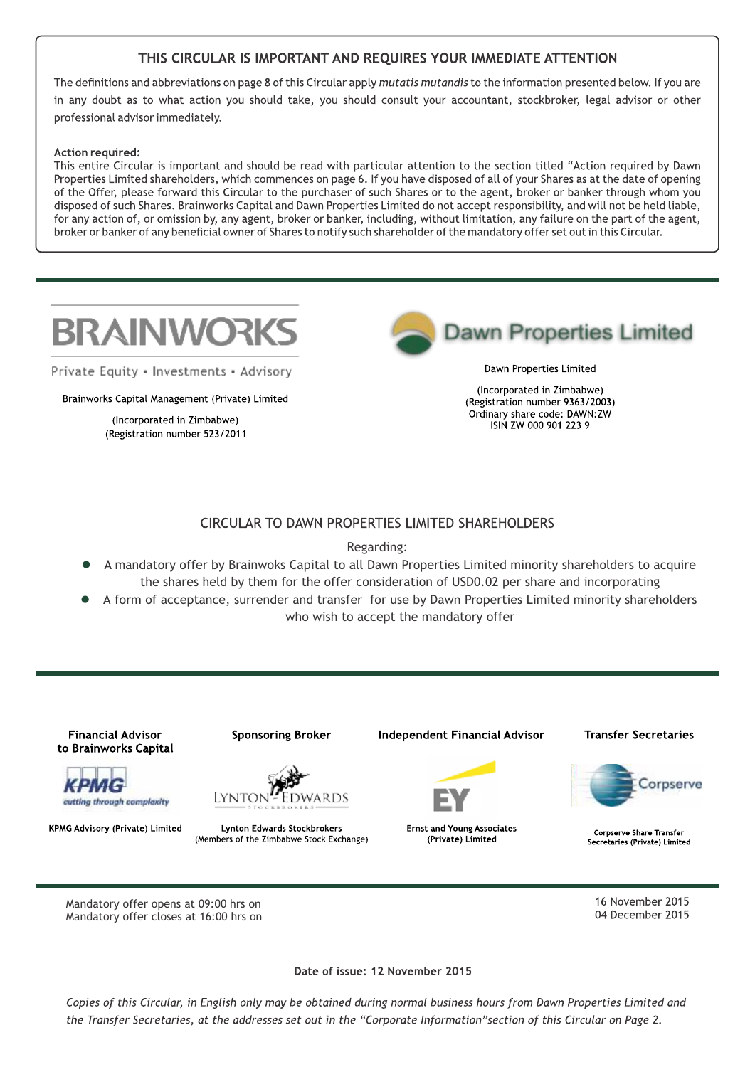## THIS CIRCULAR IS IMPORTANT AND REQUIRES YOUR IMMEDIATE ATTENTION

The definitions and abbreviations on page 8 of this Circular apply mutatis mutandis to the information presented below. If you are in any doubt as to what action you should take, you should consult your accountant, stockbroker, legal advisor or other professional advisor immediately.

#### Action required:

This entire Circular is important and should be read with particular attention to the section titled "Action required by Dawn Properties Limited shareholders, which commences on page 6. If you have disposed of all of your Shares as at the date of opening of the Offer, please forward this Circular to the purchaser of such Shares or to the agent, broker or banker through whom you disposed of such Shares. Brainworks Capital and Dawn Properties Limited do not accept responsibility, and will not be held liable, for any action of, or omission by, any agent, broker or banker, including, without limitation, any failure on the part of the agent, broker or banker of any beneficial owner of Shares to notify such shareholder of the mandatory offer set out in this Circular.



Private Equity . Investments . Advisory

Brainworks Capital Management (Private) Limited

(Incorporated in Zimbabwe) (Registration number 523/2011



Dawn Properties Limited

(Incorporated in Zimbabwe) (Registration number 9363/2003) Ordinary share code: DAWN:ZW ISIN ZW 000 901 223 9

#### CIRCULAR TO DAWN PROPERTIES LIMITED SHAREHOLDERS

Regarding:

- l A mandatory offer by Brainwoks Capital to all Dawn Properties Limited minority shareholders to acquire the shares held by them for the offer consideration of USD0.02 per share and incorporating
- A form of acceptance, surrender and transfer for use by Dawn Properties Limited minority shareholders who wish to accept the mandatory offer



Date of issue: 12 November 2015

Copies of this Circular, in English only may be obtained during normal business hours from Dawn Properties Limited and the Transfer Secretaries, at the addresses set out in the "Corporate Information"section of this Circular on Page 2.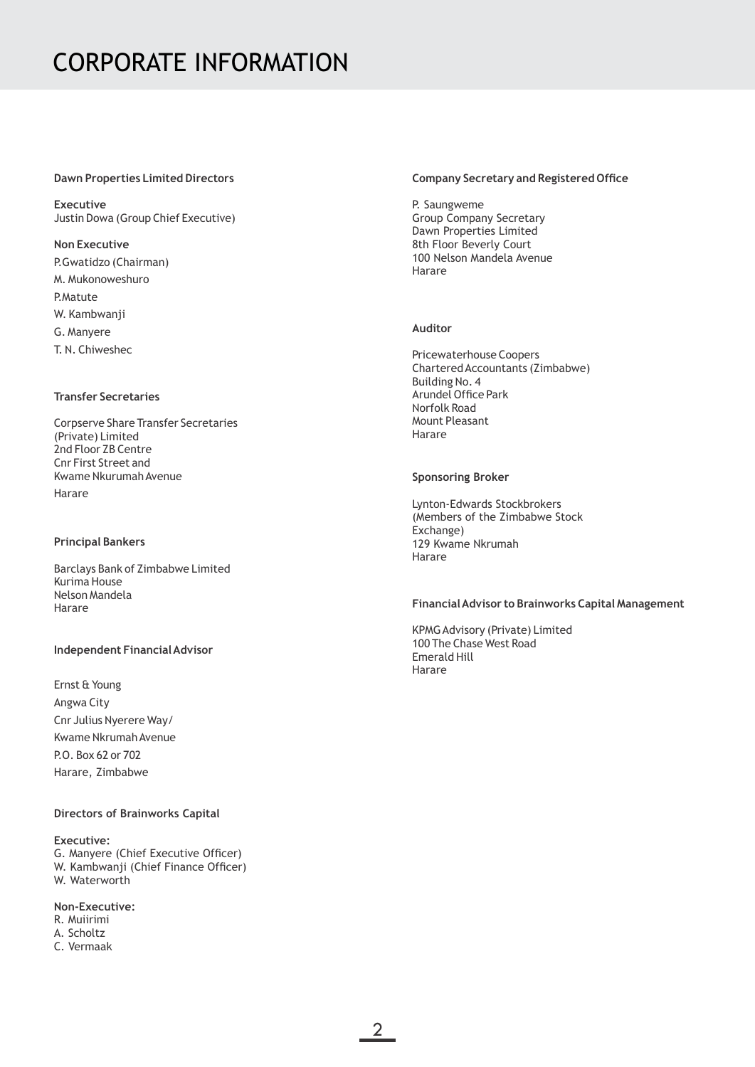#### **Dawn Properties Limited Directors**

**Executive** Justin Dowa (Group Chief Executive)

#### **Non Executive**

P.Gwatidzo (Chairman) M. Mukonoweshuro P.Matute W. Kambwanji G. Manyere T. N. Chiweshec

#### **Transfer Secretaries**

Corpserve Share Transfer Secretaries (Private) Limited 2nd Floor ZB Centre Cnr First Street and Kwame Nkurumah Avenue Harare

#### **Principal Bankers**

Barclays Bank of Zimbabwe Limited Kurima House Nelson Mandela Harare

#### **Independent Financial Advisor**

Ernst & Young Angwa City Cnr Julius Nyerere Way/ Kwame Nkrumah Avenue P.O. Box 62 or 702 Harare, Zimbabwe

#### **Directors of Brainworks Capital**

#### **Executive:**

G. Manyere (Chief Executive Officer) W. Kambwanji (Chief Finance Officer) W. Waterworth

#### **Non-Executive:**

R. Muiirimi A. Scholtz C. Vermaak

#### **Company Secretary and Registered Office**

P. Saungweme Group Company Secretary Dawn Properties Limited 8th Floor Beverly Court 100 Nelson Mandela Avenue Harare

#### **Auditor**

Pricewaterhouse Coopers Chartered Accountants (Zimbabwe) Building No. 4 Arundel Office Park Norfolk Road Mount Pleasant Harare

#### **Sponsoring Broker**

Lynton-Edwards Stockbrokers (Members of the Zimbabwe Stock Exchange) 129 Kwame Nkrumah Harare

#### **Financial Advisor to Brainworks Capital Management**

KPMG Advisory (Private) Limited 100 The Chase West Road Emerald Hill Harare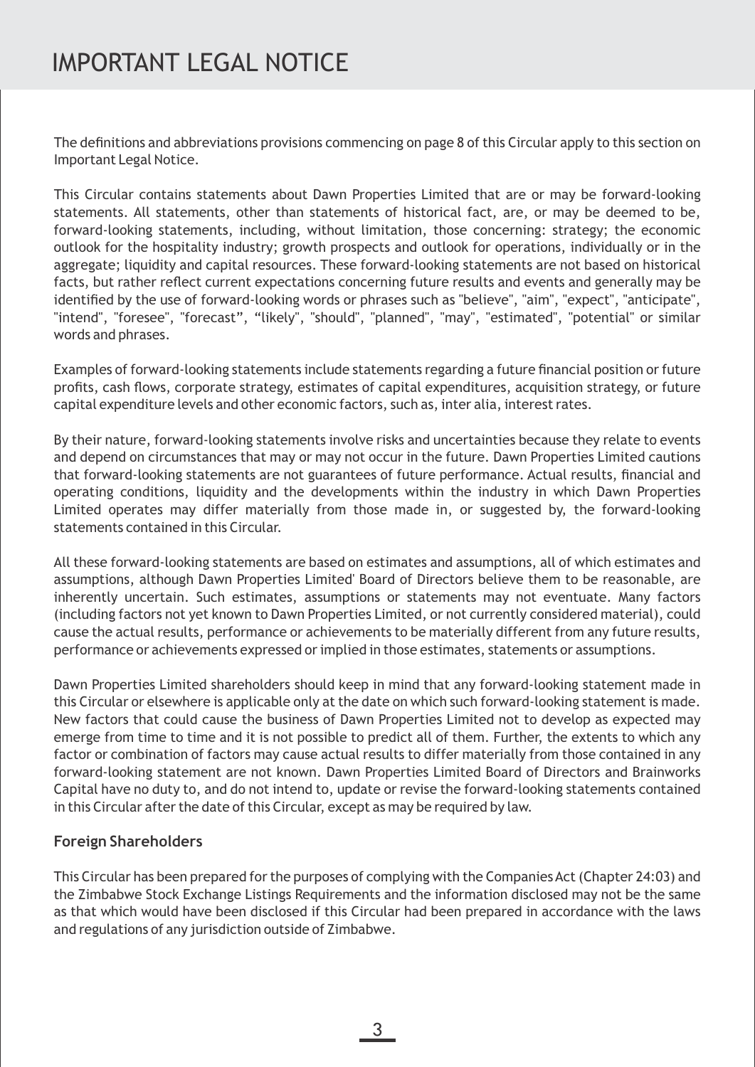The definitions and abbreviations provisions commencing on page 8 of this Circular apply to this section on Important Legal Notice.

This Circular contains statements about Dawn Properties Limited that are or may be forward-looking statements. All statements, other than statements of historical fact, are, or may be deemed to be, forward-looking statements, including, without limitation, those concerning: strategy; the economic outlook for the hospitality industry; growth prospects and outlook for operations, individually or in the aggregate; liquidity and capital resources. These forward-looking statements are not based on historical facts, but rather reflect current expectations concerning future results and events and generally may be identified by the use of forward-looking words or phrases such as "believe", "aim", "expect", "anticipate", "intend", "foresee", "forecast", "likely", "should", "planned", "may", "estimated", "potential" or similar words and phrases.

Examples of forward-looking statements include statements regarding a future financial position or future profits, cash flows, corporate strategy, estimates of capital expenditures, acquisition strategy, or future capital expenditure levels and other economic factors, such as, inter alia, interest rates.

By their nature, forward-looking statements involve risks and uncertainties because they relate to events and depend on circumstances that may or may not occur in the future. Dawn Properties Limited cautions that forward-looking statements are not guarantees of future performance. Actual results, financial and operating conditions, liquidity and the developments within the industry in which Dawn Properties Limited operates may differ materially from those made in, or suggested by, the forward-looking statements contained in this Circular.

All these forward-looking statements are based on estimates and assumptions, all of which estimates and assumptions, although Dawn Properties Limited' Board of Directors believe them to be reasonable, are inherently uncertain. Such estimates, assumptions or statements may not eventuate. Many factors (including factors not yet known to Dawn Properties Limited, or not currently considered material), could cause the actual results, performance or achievements to be materially different from any future results, performance or achievements expressed or implied in those estimates, statements or assumptions.

Dawn Properties Limited shareholders should keep in mind that any forward-looking statement made in this Circular or elsewhere is applicable only at the date on which such forward-looking statement is made. New factors that could cause the business of Dawn Properties Limited not to develop as expected may emerge from time to time and it is not possible to predict all of them. Further, the extents to which any factor or combination of factors may cause actual results to differ materially from those contained in any forward-looking statement are not known. Dawn Properties Limited Board of Directors and Brainworks Capital have no duty to, and do not intend to, update or revise the forward-looking statements contained in this Circular after the date of this Circular, except as may be required by law.

## **Foreign Shareholders**

This Circular has been prepared for the purposes of complying with the Companies Act (Chapter 24:03) and the Zimbabwe Stock Exchange Listings Requirements and the information disclosed may not be the same as that which would have been disclosed if this Circular had been prepared in accordance with the laws and regulations of any jurisdiction outside of Zimbabwe.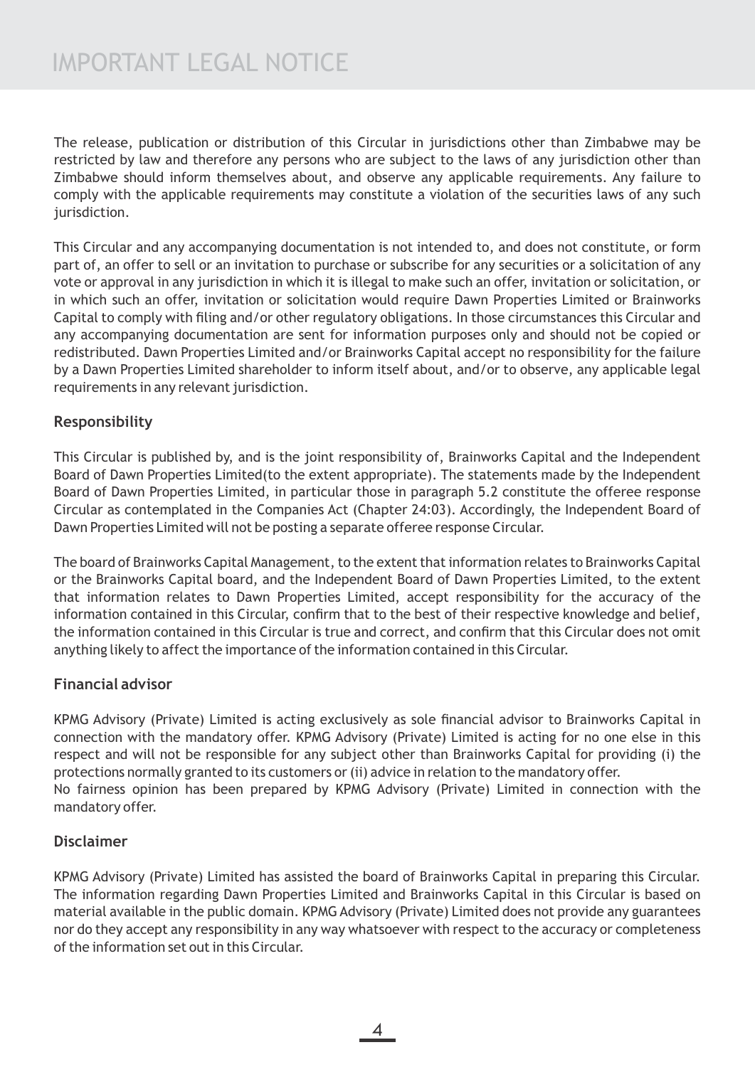The release, publication or distribution of this Circular in jurisdictions other than Zimbabwe may be restricted by law and therefore any persons who are subject to the laws of any jurisdiction other than Zimbabwe should inform themselves about, and observe any applicable requirements. Any failure to comply with the applicable requirements may constitute a violation of the securities laws of any such jurisdiction.

This Circular and any accompanying documentation is not intended to, and does not constitute, or form part of, an offer to sell or an invitation to purchase or subscribe for any securities or a solicitation of any vote or approval in any jurisdiction in which it is illegal to make such an offer, invitation or solicitation, or in which such an offer, invitation or solicitation would require Dawn Properties Limited or Brainworks Capital to comply with filing and/or other regulatory obligations. In those circumstances this Circular and any accompanying documentation are sent for information purposes only and should not be copied or redistributed. Dawn Properties Limited and/or Brainworks Capital accept no responsibility for the failure by a Dawn Properties Limited shareholder to inform itself about, and/or to observe, any applicable legal requirements in any relevant jurisdiction.

## **Responsibility**

This Circular is published by, and is the joint responsibility of, Brainworks Capital and the Independent Board of Dawn Properties Limited(to the extent appropriate). The statements made by the Independent Board of Dawn Properties Limited, in particular those in paragraph 5.2 constitute the offeree response Circular as contemplated in the Companies Act (Chapter 24:03). Accordingly, the Independent Board of Dawn Properties Limited will not be posting a separate offeree response Circular.

The board of Brainworks Capital Management, to the extent that information relates to Brainworks Capital or the Brainworks Capital board, and the Independent Board of Dawn Properties Limited, to the extent that information relates to Dawn Properties Limited, accept responsibility for the accuracy of the information contained in this Circular, confirm that to the best of their respective knowledge and belief, the information contained in this Circular is true and correct, and confirm that this Circular does not omit anything likely to affect the importance of the information contained in this Circular.

## **Financial advisor**

KPMG Advisory (Private) Limited is acting exclusively as sole financial advisor to Brainworks Capital in connection with the mandatory offer. KPMG Advisory (Private) Limited is acting for no one else in this respect and will not be responsible for any subject other than Brainworks Capital for providing (i) the protections normally granted to its customers or (ii) advice in relation to the mandatory offer. No fairness opinion has been prepared by KPMG Advisory (Private) Limited in connection with the mandatory offer.

## **Disclaimer**

KPMG Advisory (Private) Limited has assisted the board of Brainworks Capital in preparing this Circular. The information regarding Dawn Properties Limited and Brainworks Capital in this Circular is based on material available in the public domain. KPMG Advisory (Private) Limited does not provide any guarantees nor do they accept any responsibility in any way whatsoever with respect to the accuracy or completeness of the information set out in this Circular.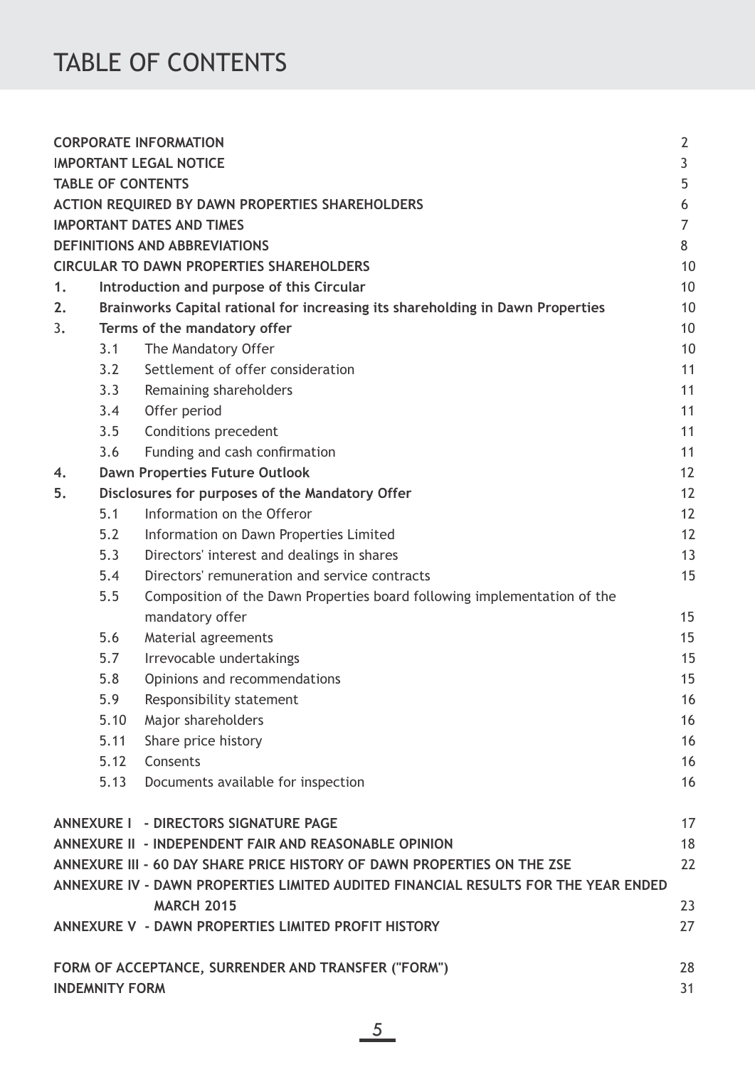# TABLE OF CONTENTS

|    |                                    | <b>CORPORATE INFORMATION</b>                                                                                                                                  | $\overline{2}$ |  |  |  |  |  |
|----|------------------------------------|---------------------------------------------------------------------------------------------------------------------------------------------------------------|----------------|--|--|--|--|--|
|    | <b>IMPORTANT LEGAL NOTICE</b><br>3 |                                                                                                                                                               |                |  |  |  |  |  |
|    | <b>TABLE OF CONTENTS</b><br>5      |                                                                                                                                                               |                |  |  |  |  |  |
|    |                                    | <b>ACTION REQUIRED BY DAWN PROPERTIES SHAREHOLDERS</b>                                                                                                        | 6              |  |  |  |  |  |
|    |                                    | <b>IMPORTANT DATES AND TIMES</b>                                                                                                                              | 7              |  |  |  |  |  |
|    |                                    | <b>DEFINITIONS AND ABBREVIATIONS</b>                                                                                                                          | 8              |  |  |  |  |  |
|    |                                    | <b>CIRCULAR TO DAWN PROPERTIES SHAREHOLDERS</b>                                                                                                               | 10             |  |  |  |  |  |
| 1. |                                    | Introduction and purpose of this Circular                                                                                                                     | 10             |  |  |  |  |  |
| 2. |                                    | Brainworks Capital rational for increasing its shareholding in Dawn Properties                                                                                | 10             |  |  |  |  |  |
| 3. |                                    | Terms of the mandatory offer                                                                                                                                  | 10             |  |  |  |  |  |
|    | 3.1                                | The Mandatory Offer                                                                                                                                           | 10             |  |  |  |  |  |
|    | 3.2                                | Settlement of offer consideration                                                                                                                             | 11             |  |  |  |  |  |
|    | 3.3                                | Remaining shareholders                                                                                                                                        | 11             |  |  |  |  |  |
|    | 3.4                                | Offer period                                                                                                                                                  | 11             |  |  |  |  |  |
|    | 3.5                                | <b>Conditions precedent</b>                                                                                                                                   | 11             |  |  |  |  |  |
|    | 3.6                                | Funding and cash confirmation                                                                                                                                 | 11             |  |  |  |  |  |
| 4. |                                    | <b>Dawn Properties Future Outlook</b>                                                                                                                         | 12             |  |  |  |  |  |
| 5. |                                    | Disclosures for purposes of the Mandatory Offer                                                                                                               | 12             |  |  |  |  |  |
|    | 5.1                                | Information on the Offeror                                                                                                                                    | 12             |  |  |  |  |  |
|    | 5.2                                | Information on Dawn Properties Limited                                                                                                                        | 12             |  |  |  |  |  |
|    | 5.3                                | Directors' interest and dealings in shares                                                                                                                    | 13             |  |  |  |  |  |
|    | 5.4                                | Directors' remuneration and service contracts                                                                                                                 | 15             |  |  |  |  |  |
|    | 5.5                                | Composition of the Dawn Properties board following implementation of the                                                                                      |                |  |  |  |  |  |
|    |                                    | mandatory offer                                                                                                                                               | 15             |  |  |  |  |  |
|    | 5.6                                | Material agreements                                                                                                                                           | 15             |  |  |  |  |  |
|    | 5.7                                | Irrevocable undertakings                                                                                                                                      | 15             |  |  |  |  |  |
|    | 5.8                                | Opinions and recommendations                                                                                                                                  | 15             |  |  |  |  |  |
|    | 5.9                                | Responsibility statement                                                                                                                                      | 16             |  |  |  |  |  |
|    | 5.10                               | Major shareholders                                                                                                                                            | 16             |  |  |  |  |  |
|    | 5.11                               | Share price history                                                                                                                                           | 16             |  |  |  |  |  |
|    | 5.12                               | Consents                                                                                                                                                      | 16             |  |  |  |  |  |
|    | 5.13                               | Documents available for inspection                                                                                                                            | 16             |  |  |  |  |  |
|    |                                    | ANNEXURE I - DIRECTORS SIGNATURE PAGE                                                                                                                         | 17             |  |  |  |  |  |
|    |                                    | ANNEXURE II - INDEPENDENT FAIR AND REASONABLE OPINION                                                                                                         | 18             |  |  |  |  |  |
|    |                                    | ANNEXURE III - 60 DAY SHARE PRICE HISTORY OF DAWN PROPERTIES ON THE ZSE<br>ANNEXURE IV - DAWN PROPERTIES LIMITED AUDITED FINANCIAL RESULTS FOR THE YEAR ENDED | 22             |  |  |  |  |  |
|    |                                    | <b>MARCH 2015</b>                                                                                                                                             | 23             |  |  |  |  |  |
|    |                                    | ANNEXURE V - DAWN PROPERTIES LIMITED PROFIT HISTORY                                                                                                           | 27             |  |  |  |  |  |
|    |                                    |                                                                                                                                                               |                |  |  |  |  |  |
|    |                                    | FORM OF ACCEPTANCE, SURRENDER AND TRANSFER ("FORM")                                                                                                           | 28             |  |  |  |  |  |
|    | <b>INDEMNITY FORM</b>              |                                                                                                                                                               | 31             |  |  |  |  |  |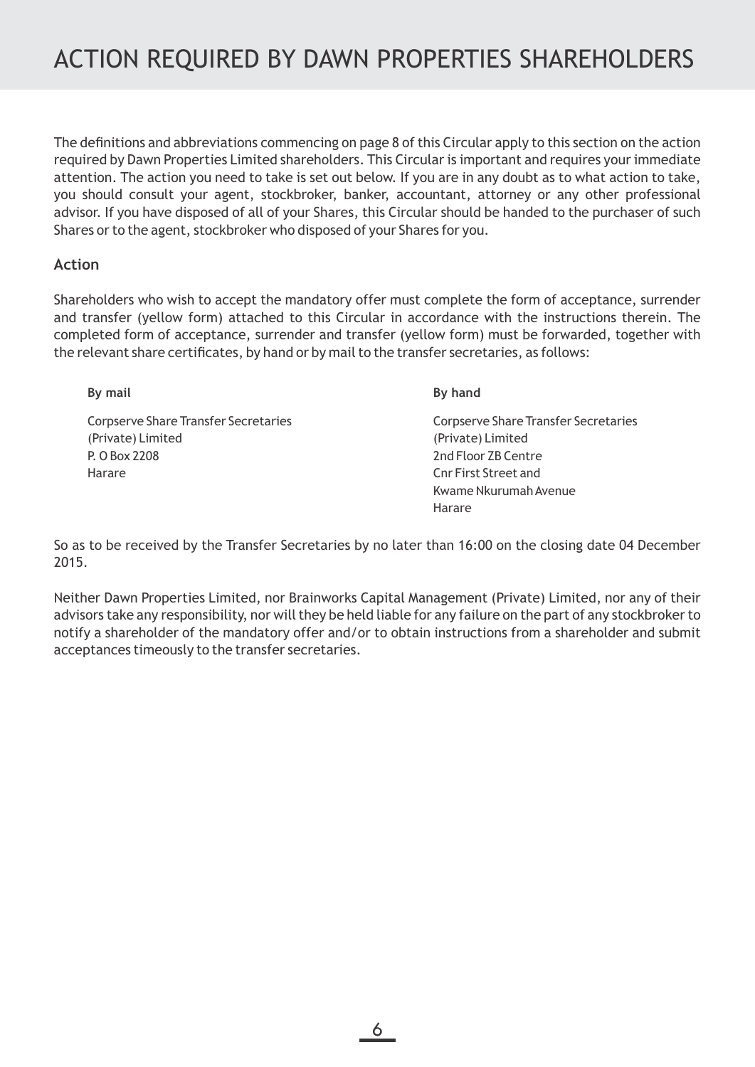The definitions and abbreviations commencing on page 8 of this Circular apply to this section on the action required by Dawn Properties Limited shareholders. This Circular is important and requires your immediate attention. The action you need to take is set out below. If you are in any doubt as to what action to take, you should consult your agent, stockbroker, banker, accountant, attorney or any other professional advisor. If you have disposed of all of your Shares, this Circular should be handed to the purchaser of such Shares or to the agent, stockbroker who disposed of your Shares for you.

### **Action**

Shareholders who wish to accept the mandatory offer must complete the form of acceptance, surrender and transfer (yellow form) attached to this Circular in accordance with the instructions therein. The completed form of acceptance, surrender and transfer (yellow form) must be forwarded, together with the relevant share certificates, by hand or by mail to the transfer secretaries, as follows:

Corpserve Share Transfer Secretaries (Private) Limited P. O Box 2208 Harare

#### **By mail By hand**

Corpserve Share Transfer Secretaries (Private) Limited 2nd Floor ZB Centre Cnr First Street and Kwame Nkurumah Avenue Harare

So as to be received by the Transfer Secretaries by no later than 16:00 on the closing date 04 December 2015.

Neither Dawn Properties Limited, nor Brainworks Capital Management (Private) Limited, nor any of their advisors take any responsibility, nor will they be held liable for any failure on the part of any stockbroker to notify a shareholder of the mandatory offer and/or to obtain instructions from a shareholder and submit acceptances timeously to the transfer secretaries.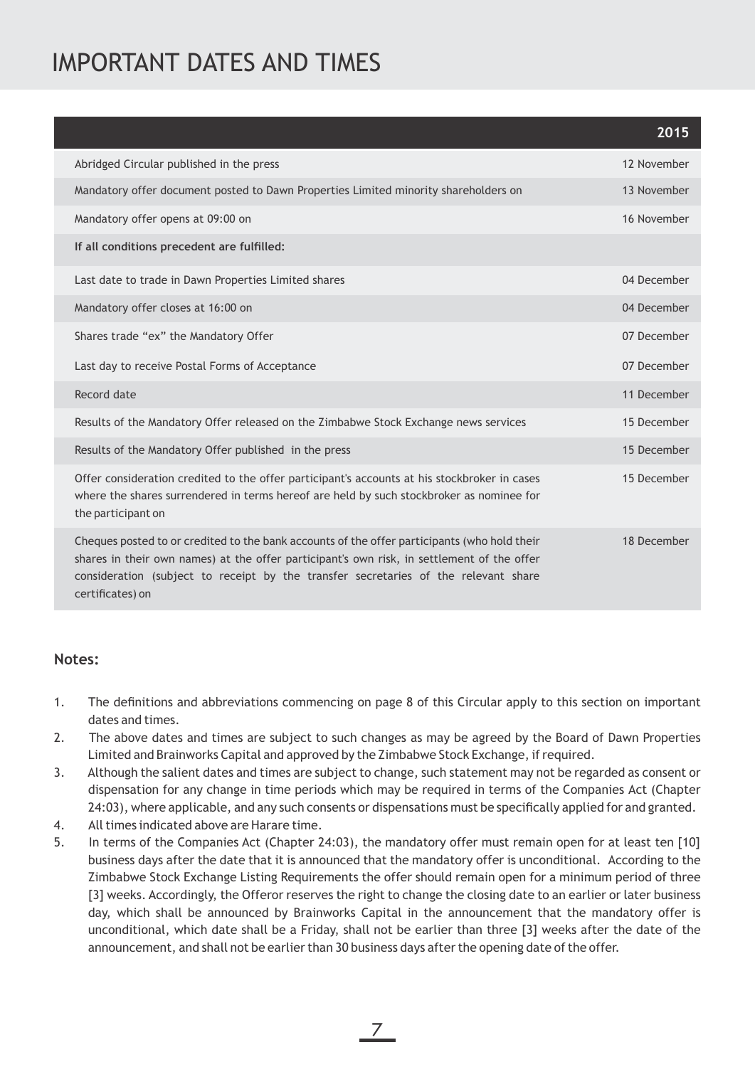# IMPORTANT DATES AND TIMES

|                                                                                                                                                                                                                                                                                                       | 2015        |
|-------------------------------------------------------------------------------------------------------------------------------------------------------------------------------------------------------------------------------------------------------------------------------------------------------|-------------|
| Abridged Circular published in the press                                                                                                                                                                                                                                                              | 12 November |
| Mandatory offer document posted to Dawn Properties Limited minority shareholders on                                                                                                                                                                                                                   | 13 November |
| Mandatory offer opens at 09:00 on                                                                                                                                                                                                                                                                     | 16 November |
| If all conditions precedent are fulfilled:                                                                                                                                                                                                                                                            |             |
| Last date to trade in Dawn Properties Limited shares                                                                                                                                                                                                                                                  | 04 December |
| Mandatory offer closes at 16:00 on                                                                                                                                                                                                                                                                    | 04 December |
| Shares trade "ex" the Mandatory Offer                                                                                                                                                                                                                                                                 | 07 December |
| Last day to receive Postal Forms of Acceptance                                                                                                                                                                                                                                                        | 07 December |
| Record date                                                                                                                                                                                                                                                                                           | 11 December |
| Results of the Mandatory Offer released on the Zimbabwe Stock Exchange news services                                                                                                                                                                                                                  | 15 December |
| Results of the Mandatory Offer published in the press                                                                                                                                                                                                                                                 | 15 December |
| Offer consideration credited to the offer participant's accounts at his stockbroker in cases<br>where the shares surrendered in terms hereof are held by such stockbroker as nominee for<br>the participant on                                                                                        | 15 December |
| Cheques posted to or credited to the bank accounts of the offer participants (who hold their<br>shares in their own names) at the offer participant's own risk, in settlement of the offer<br>consideration (subject to receipt by the transfer secretaries of the relevant share<br>certificates) on | 18 December |

## **Notes:**

- 1. The definitions and abbreviations commencing on page 8 of this Circular apply to this section on important dates and times.
- 2. The above dates and times are subject to such changes as may be agreed by the Board of Dawn Properties Limited and Brainworks Capital and approved by the Zimbabwe Stock Exchange, if required.
- 3. Although the salient dates and times are subject to change, such statement may not be regarded as consent or dispensation for any change in time periods which may be required in terms of the Companies Act (Chapter 24:03), where applicable, and any such consents or dispensations must be specifically applied for and granted.
- 4. All times indicated above are Harare time.
- 5. In terms of the Companies Act (Chapter 24:03), the mandatory offer must remain open for at least ten [10] business days after the date that it is announced that the mandatory offer is unconditional. According to the Zimbabwe Stock Exchange Listing Requirements the offer should remain open for a minimum period of three [3] weeks. Accordingly, the Offeror reserves the right to change the closing date to an earlier or later business day, which shall be announced by Brainworks Capital in the announcement that the mandatory offer is unconditional, which date shall be a Friday, shall not be earlier than three [3] weeks after the date of the announcement, and shall not be earlier than 30 business days after the opening date of the offer.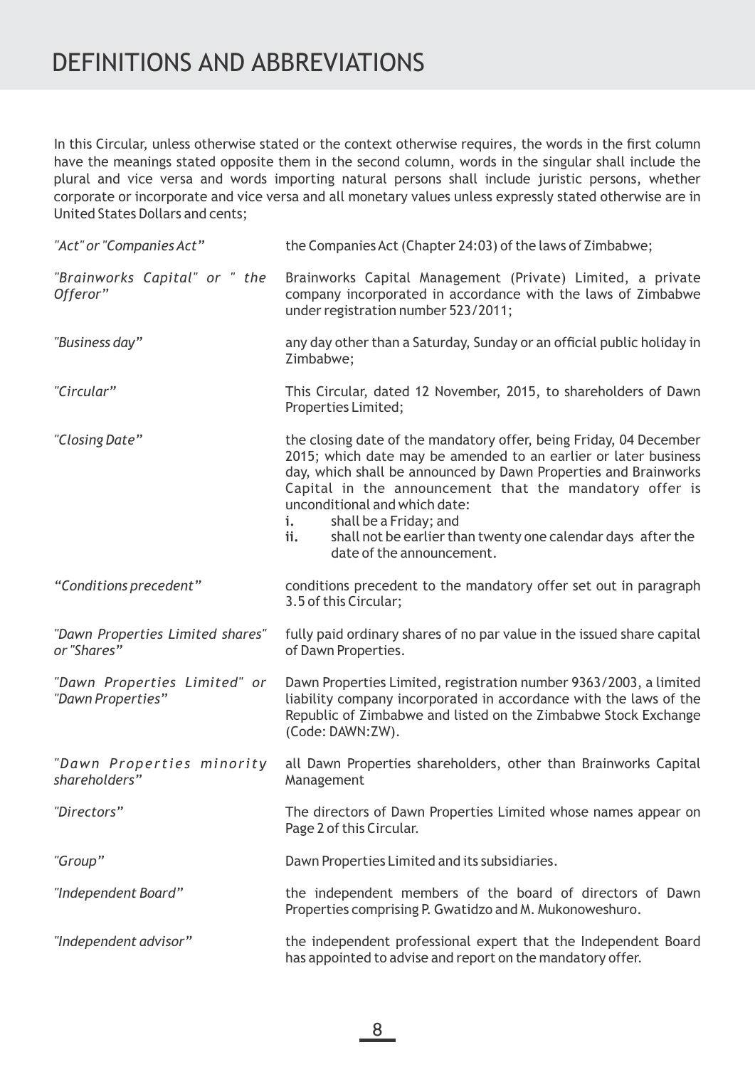# DEFINITIONS AND ABBREVIATIONS

In this Circular, unless otherwise stated or the context otherwise requires, the words in the first column have the meanings stated opposite them in the second column, words in the singular shall include the plural and vice versa and words importing natural persons shall include juristic persons, whether corporate or incorporate and vice versa and all monetary values unless expressly stated otherwise are in United States Dollars and cents;

| "Act" or "Companies Act"                          | the Companies Act (Chapter 24:03) of the laws of Zimbabwe;                                                                                                                                                                                                                                                                                                                                                                               |  |  |
|---------------------------------------------------|------------------------------------------------------------------------------------------------------------------------------------------------------------------------------------------------------------------------------------------------------------------------------------------------------------------------------------------------------------------------------------------------------------------------------------------|--|--|
| "Brainworks Capital" or " the<br>Offeror"         | Brainworks Capital Management (Private) Limited, a private<br>company incorporated in accordance with the laws of Zimbabwe<br>under registration number 523/2011;                                                                                                                                                                                                                                                                        |  |  |
| "Business day"                                    | any day other than a Saturday, Sunday or an official public holiday in<br>Zimbabwe;                                                                                                                                                                                                                                                                                                                                                      |  |  |
| "Circular"                                        | This Circular, dated 12 November, 2015, to shareholders of Dawn<br>Properties Limited;                                                                                                                                                                                                                                                                                                                                                   |  |  |
| "Closing Date"                                    | the closing date of the mandatory offer, being Friday, 04 December<br>2015; which date may be amended to an earlier or later business<br>day, which shall be announced by Dawn Properties and Brainworks<br>Capital in the announcement that the mandatory offer is<br>unconditional and which date:<br>shall be a Friday; and<br>i.<br>shall not be earlier than twenty one calendar days after the<br>ii.<br>date of the announcement. |  |  |
| "Conditions precedent"                            | conditions precedent to the mandatory offer set out in paragraph<br>3.5 of this Circular;                                                                                                                                                                                                                                                                                                                                                |  |  |
| "Dawn Properties Limited shares"<br>or "Shares"   | fully paid ordinary shares of no par value in the issued share capital<br>of Dawn Properties.                                                                                                                                                                                                                                                                                                                                            |  |  |
| "Dawn Properties Limited" or<br>"Dawn Properties" | Dawn Properties Limited, registration number 9363/2003, a limited<br>liability company incorporated in accordance with the laws of the<br>Republic of Zimbabwe and listed on the Zimbabwe Stock Exchange<br>(Code: DAWN:ZW).                                                                                                                                                                                                             |  |  |
| "Dawn Properties minority<br>shareholders"        | all Dawn Properties shareholders, other than Brainworks Capital<br>Management                                                                                                                                                                                                                                                                                                                                                            |  |  |
| "Directors"                                       | The directors of Dawn Properties Limited whose names appear on<br>Page 2 of this Circular.                                                                                                                                                                                                                                                                                                                                               |  |  |
| "Group"                                           | Dawn Properties Limited and its subsidiaries.                                                                                                                                                                                                                                                                                                                                                                                            |  |  |
| "Independent Board"                               | the independent members of the board of directors of Dawn<br>Properties comprising P. Gwatidzo and M. Mukonoweshuro.                                                                                                                                                                                                                                                                                                                     |  |  |
| "Independent advisor"                             | the independent professional expert that the Independent Board<br>has appointed to advise and report on the mandatory offer.                                                                                                                                                                                                                                                                                                             |  |  |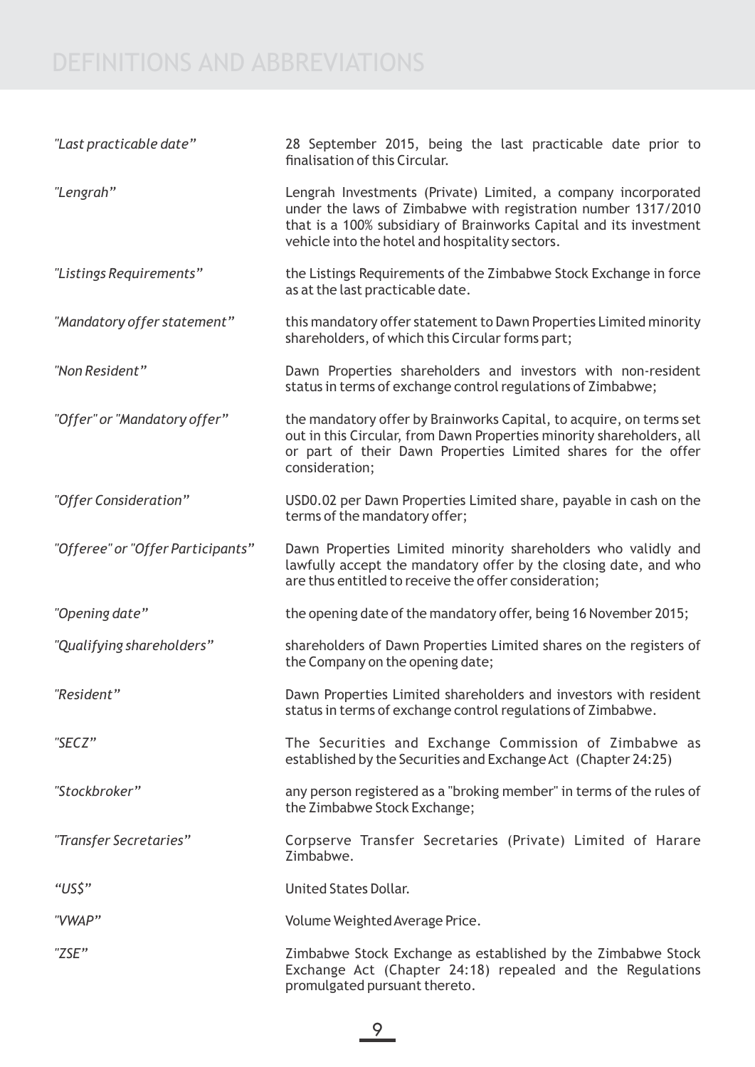# DEFINITIONS AND ABBREVIATIONS

| "Last practicable date"           | 28 September 2015, being the last practicable date prior to<br>finalisation of this Circular.                                                                                                                                                           |  |  |  |  |
|-----------------------------------|---------------------------------------------------------------------------------------------------------------------------------------------------------------------------------------------------------------------------------------------------------|--|--|--|--|
| "Lengrah"                         | Lengrah Investments (Private) Limited, a company incorporated<br>under the laws of Zimbabwe with registration number 1317/2010<br>that is a 100% subsidiary of Brainworks Capital and its investment<br>vehicle into the hotel and hospitality sectors. |  |  |  |  |
| "Listings Requirements"           | the Listings Requirements of the Zimbabwe Stock Exchange in force<br>as at the last practicable date.                                                                                                                                                   |  |  |  |  |
| "Mandatory offer statement"       | this mandatory offer statement to Dawn Properties Limited minority<br>shareholders, of which this Circular forms part;                                                                                                                                  |  |  |  |  |
| "Non Resident"                    | Dawn Properties shareholders and investors with non-resident<br>status in terms of exchange control regulations of Zimbabwe;                                                                                                                            |  |  |  |  |
| "Offer" or "Mandatory offer"      | the mandatory offer by Brainworks Capital, to acquire, on terms set<br>out in this Circular, from Dawn Properties minority shareholders, all<br>or part of their Dawn Properties Limited shares for the offer<br>consideration;                         |  |  |  |  |
| "Offer Consideration"             | USD0.02 per Dawn Properties Limited share, payable in cash on the<br>terms of the mandatory offer;                                                                                                                                                      |  |  |  |  |
| "Offeree" or "Offer Participants" | Dawn Properties Limited minority shareholders who validly and<br>lawfully accept the mandatory offer by the closing date, and who<br>are thus entitled to receive the offer consideration;                                                              |  |  |  |  |
| "Opening date"                    | the opening date of the mandatory offer, being 16 November 2015;                                                                                                                                                                                        |  |  |  |  |
| "Qualifying shareholders"         | shareholders of Dawn Properties Limited shares on the registers of<br>the Company on the opening date;                                                                                                                                                  |  |  |  |  |
| "Resident"                        | Dawn Properties Limited shareholders and investors with resident<br>status in terms of exchange control regulations of Zimbabwe.                                                                                                                        |  |  |  |  |
| "SECZ"                            | The Securities and Exchange Commission of Zimbabwe as<br>established by the Securities and Exchange Act (Chapter 24:25)                                                                                                                                 |  |  |  |  |
| "Stockbroker"                     | any person registered as a "broking member" in terms of the rules of<br>the Zimbabwe Stock Exchange;                                                                                                                                                    |  |  |  |  |
| "Transfer Secretaries"            | Corpserve Transfer Secretaries (Private) Limited of Harare<br>Zimbabwe.                                                                                                                                                                                 |  |  |  |  |
| "US\$"                            | <b>United States Dollar.</b>                                                                                                                                                                                                                            |  |  |  |  |
| "VWAP"                            | Volume Weighted Average Price.                                                                                                                                                                                                                          |  |  |  |  |
| "ZSE"                             | Zimbabwe Stock Exchange as established by the Zimbabwe Stock<br>Exchange Act (Chapter 24:18) repealed and the Regulations<br>promulgated pursuant thereto.                                                                                              |  |  |  |  |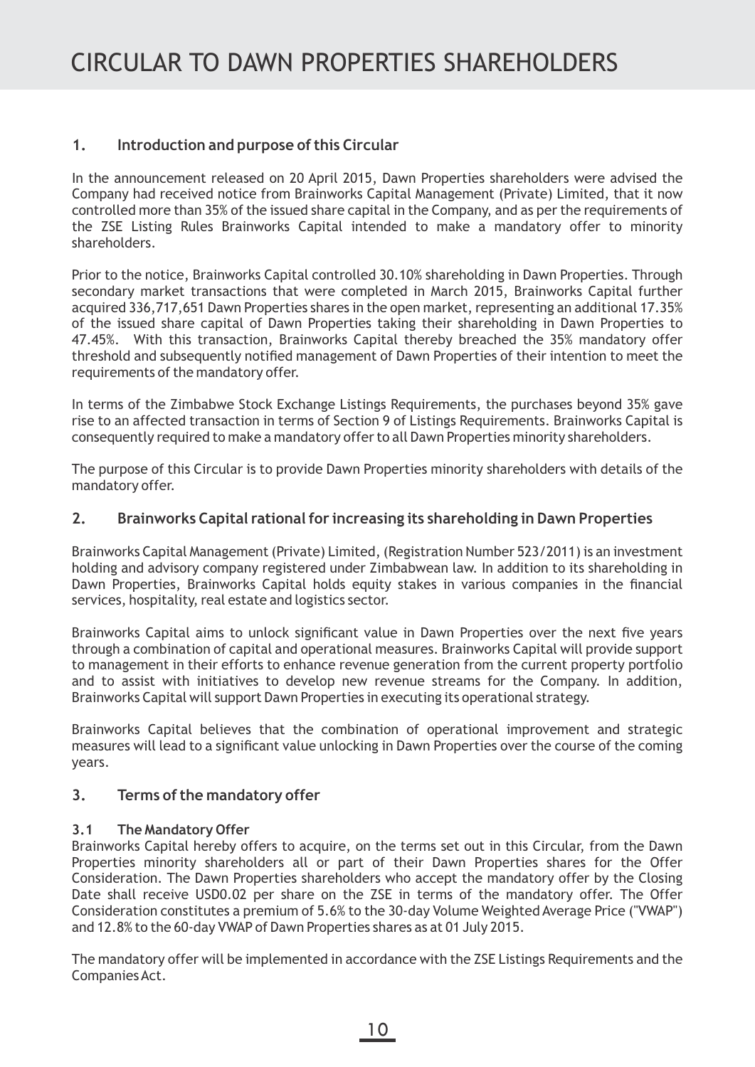## **1. Introduction and purpose of this Circular**

In the announcement released on 20 April 2015, Dawn Properties shareholders were advised the Company had received notice from Brainworks Capital Management (Private) Limited, that it now controlled more than 35% of the issued share capital in the Company, and as per the requirements of the ZSE Listing Rules Brainworks Capital intended to make a mandatory offer to minority shareholders.

Prior to the notice, Brainworks Capital controlled 30.10% shareholding in Dawn Properties. Through secondary market transactions that were completed in March 2015, Brainworks Capital further acquired 336,717,651 Dawn Properties shares in the open market, representing an additional 17.35% of the issued share capital of Dawn Properties taking their shareholding in Dawn Properties to 47.45%. With this transaction, Brainworks Capital thereby breached the 35% mandatory offer threshold and subsequently notified management of Dawn Properties of their intention to meet the requirements of the mandatory offer.

In terms of the Zimbabwe Stock Exchange Listings Requirements, the purchases beyond 35% gave rise to an affected transaction in terms of Section 9 of Listings Requirements. Brainworks Capital is consequently required to make a mandatory offer to all Dawn Properties minority shareholders.

The purpose of this Circular is to provide Dawn Properties minority shareholders with details of the mandatory offer.

### **2. Brainworks Capital rational for increasing its shareholding in Dawn Properties**

Brainworks Capital Management (Private) Limited, (Registration Number 523/2011) is an investment holding and advisory company registered under Zimbabwean law. In addition to its shareholding in Dawn Properties, Brainworks Capital holds equity stakes in various companies in the financial services, hospitality, real estate and logistics sector.

Brainworks Capital aims to unlock significant value in Dawn Properties over the next five years through a combination of capital and operational measures. Brainworks Capital will provide support to management in their efforts to enhance revenue generation from the current property portfolio and to assist with initiatives to develop new revenue streams for the Company. In addition, Brainworks Capital will support Dawn Properties in executing its operational strategy.

Brainworks Capital believes that the combination of operational improvement and strategic measures will lead to a significant value unlocking in Dawn Properties over the course of the coming years.

## **3. Terms of the mandatory offer**

### **3.1 The Mandatory Offer**

Brainworks Capital hereby offers to acquire, on the terms set out in this Circular, from the Dawn Properties minority shareholders all or part of their Dawn Properties shares for the Offer Consideration. The Dawn Properties shareholders who accept the mandatory offer by the Closing Date shall receive USD0.02 per share on the ZSE in terms of the mandatory offer. The Offer Consideration constitutes a premium of 5.6% to the 30-day Volume Weighted Average Price ("VWAP") and 12.8% to the 60-day VWAP of Dawn Properties shares as at 01 July 2015.

The mandatory offer will be implemented in accordance with the ZSE Listings Requirements and the Companies Act.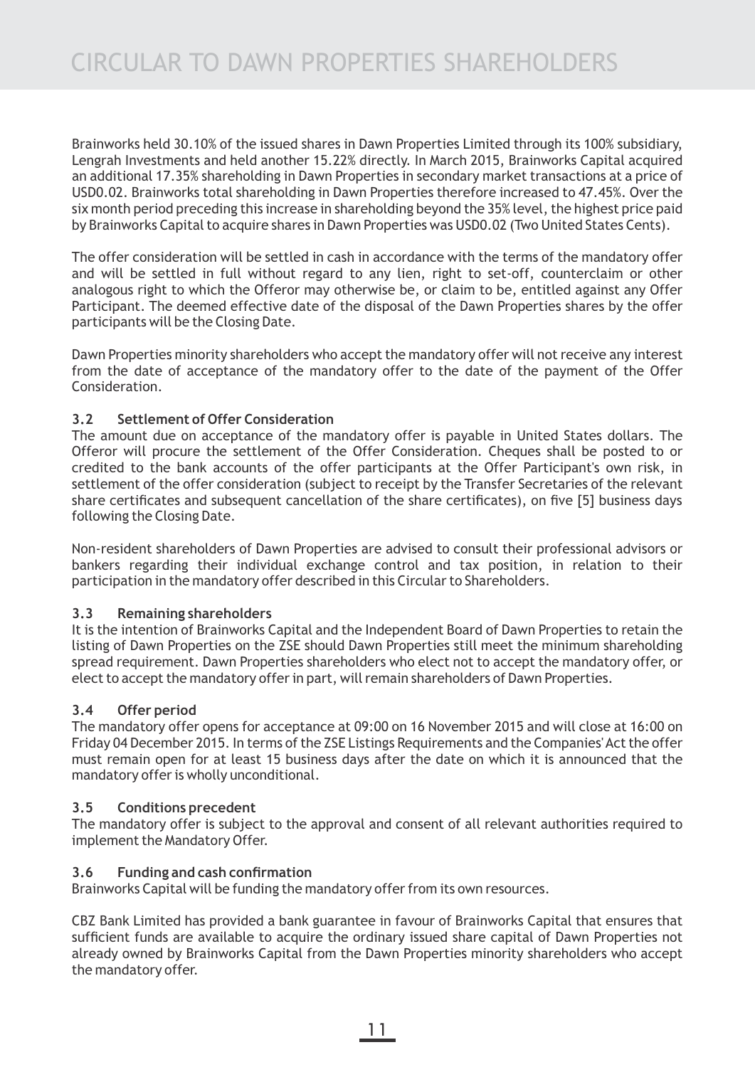Brainworks held 30.10% of the issued shares in Dawn Properties Limited through its 100% subsidiary, Lengrah Investments and held another 15.22% directly. In March 2015, Brainworks Capital acquired an additional 17.35% shareholding in Dawn Properties in secondary market transactions at a price of USD0.02. Brainworks total shareholding in Dawn Properties therefore increased to 47.45%. Over the six month period preceding this increase in shareholding beyond the 35% level, the highest price paid by Brainworks Capital to acquire shares in Dawn Properties was USD0.02 (Two United States Cents).

The offer consideration will be settled in cash in accordance with the terms of the mandatory offer and will be settled in full without regard to any lien, right to set-off, counterclaim or other analogous right to which the Offeror may otherwise be, or claim to be, entitled against any Offer Participant. The deemed effective date of the disposal of the Dawn Properties shares by the offer participants will be the Closing Date.

Dawn Properties minority shareholders who accept the mandatory offer will not receive any interest from the date of acceptance of the mandatory offer to the date of the payment of the Offer Consideration.

### **3.2 Settlement of Offer Consideration**

The amount due on acceptance of the mandatory offer is payable in United States dollars. The Offeror will procure the settlement of the Offer Consideration. Cheques shall be posted to or credited to the bank accounts of the offer participants at the Offer Participant's own risk, in settlement of the offer consideration (subject to receipt by the Transfer Secretaries of the relevant share certificates and subsequent cancellation of the share certificates), on five [5] business days following the Closing Date.

Non-resident shareholders of Dawn Properties are advised to consult their professional advisors or bankers regarding their individual exchange control and tax position, in relation to their participation in the mandatory offer described in this Circular to Shareholders.

### **3.3 Remaining shareholders**

It is the intention of Brainworks Capital and the Independent Board of Dawn Properties to retain the listing of Dawn Properties on the ZSE should Dawn Properties still meet the minimum shareholding spread requirement. Dawn Properties shareholders who elect not to accept the mandatory offer, or elect to accept the mandatory offer in part, will remain shareholders of Dawn Properties.

### **3.4 Offer period**

The mandatory offer opens for acceptance at 09:00 on 16 November 2015 and will close at 16:00 on Friday 04 December 2015. In terms of the ZSE Listings Requirements and the Companies' Act the offer must remain open for at least 15 business days after the date on which it is announced that the mandatory offer is wholly unconditional.

### **3.5 Conditions precedent**

The mandatory offer is subject to the approval and consent of all relevant authorities required to implement the Mandatory Offer.

### **3.6 Funding and cash confirmation**

Brainworks Capital will be funding the mandatory offer from its own resources.

CBZ Bank Limited has provided a bank guarantee in favour of Brainworks Capital that ensures that sufficient funds are available to acquire the ordinary issued share capital of Dawn Properties not already owned by Brainworks Capital from the Dawn Properties minority shareholders who accept the mandatory offer.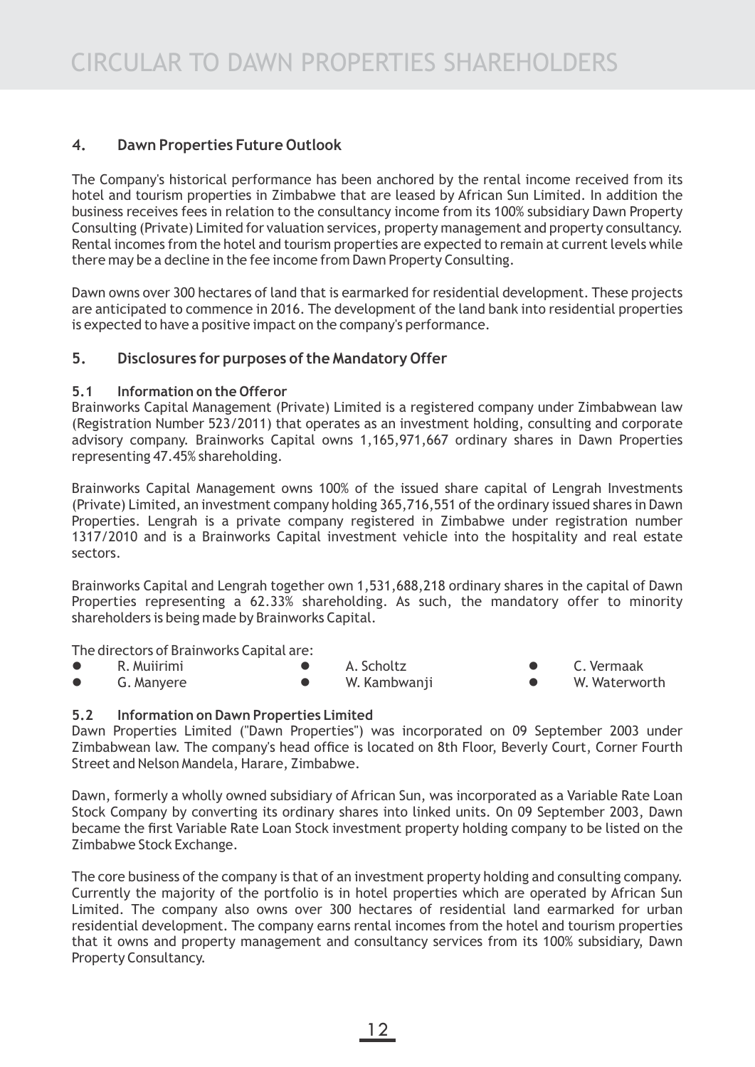## **4. Dawn Properties Future Outlook**

The Company's historical performance has been anchored by the rental income received from its hotel and tourism properties in Zimbabwe that are leased by African Sun Limited. In addition the business receives fees in relation to the consultancy income from its 100% subsidiary Dawn Property Consulting (Private) Limited for valuation services, property management and property consultancy. Rental incomes from the hotel and tourism properties are expected to remain at current levels while there may be a decline in the fee income from Dawn Property Consulting.

Dawn owns over 300 hectares of land that is earmarked for residential development. These projects are anticipated to commence in 2016. The development of the land bank into residential properties is expected to have a positive impact on the company's performance.

## **5. Disclosures for purposes of the Mandatory Offer**

### **5.1 Information on the Offeror**

Brainworks Capital Management (Private) Limited is a registered company under Zimbabwean law (Registration Number 523/2011) that operates as an investment holding, consulting and corporate advisory company. Brainworks Capital owns 1,165,971,667 ordinary shares in Dawn Properties representing 47.45% shareholding.

Brainworks Capital Management owns 100% of the issued share capital of Lengrah Investments (Private) Limited, an investment company holding 365,716,551 of the ordinary issued shares in Dawn Properties. Lengrah is a private company registered in Zimbabwe under registration number 1317/2010 and is a Brainworks Capital investment vehicle into the hospitality and real estate sectors.

Brainworks Capital and Lengrah together own 1,531,688,218 ordinary shares in the capital of Dawn Properties representing a 62.33% shareholding. As such, the mandatory offer to minority shareholders is being made by Brainworks Capital.

The directors of Brainworks Capital are:

- 
- G. Manyere ● W. Kambwanji W. Waterworth
- 
- l R. Muiirimi l A. Scholtz l C. Vermaak
	-

### **5.2 Information on Dawn Properties Limited**

Dawn Properties Limited ("Dawn Properties") was incorporated on 09 September 2003 under Zimbabwean law. The company's head office is located on 8th Floor, Beverly Court, Corner Fourth Street and Nelson Mandela, Harare, Zimbabwe.

Dawn, formerly a wholly owned subsidiary of African Sun, was incorporated as a Variable Rate Loan Stock Company by converting its ordinary shares into linked units. On 09 September 2003, Dawn became the first Variable Rate Loan Stock investment property holding company to be listed on the Zimbabwe Stock Exchange.

The core business of the company is that of an investment property holding and consulting company. Currently the majority of the portfolio is in hotel properties which are operated by African Sun Limited. The company also owns over 300 hectares of residential land earmarked for urban residential development. The company earns rental incomes from the hotel and tourism properties that it owns and property management and consultancy services from its 100% subsidiary, Dawn Property Consultancy.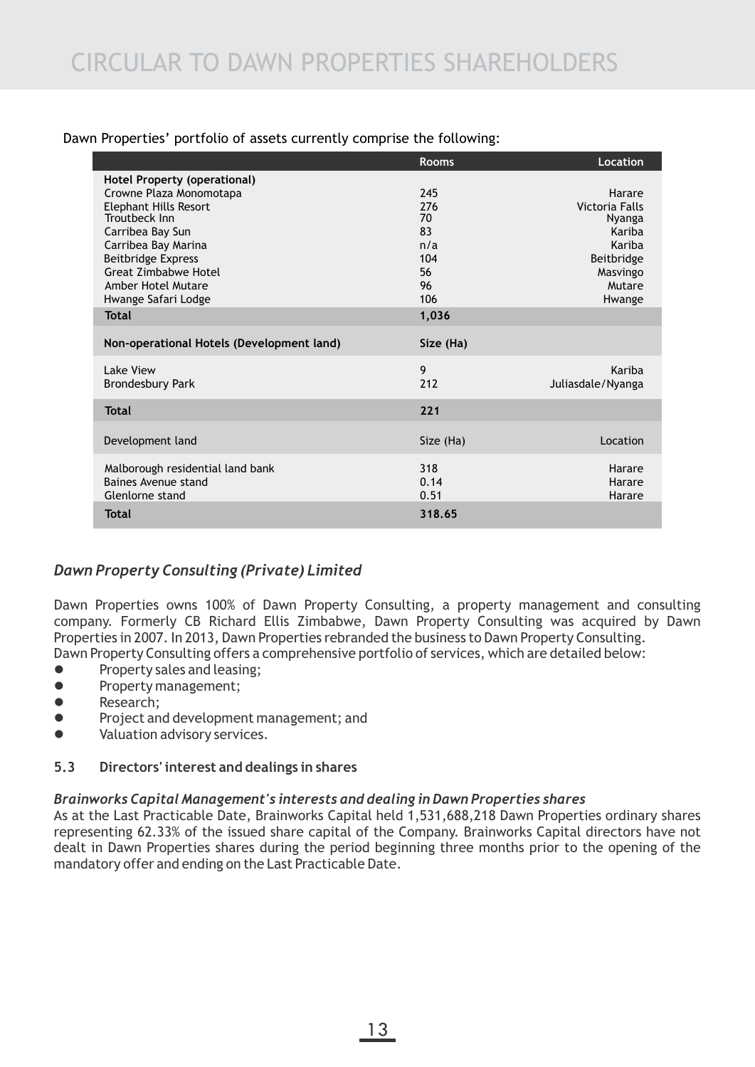| Dawn Properties' portfolio of assets currently comprise the following: |  |  |  |  |
|------------------------------------------------------------------------|--|--|--|--|
|                                                                        |  |  |  |  |

|                                                                                                                                                                                                                                                       | <b>Rooms</b>                                            | Location                                                                                             |
|-------------------------------------------------------------------------------------------------------------------------------------------------------------------------------------------------------------------------------------------------------|---------------------------------------------------------|------------------------------------------------------------------------------------------------------|
| Hotel Property (operational)<br>Crowne Plaza Monomotapa<br><b>Elephant Hills Resort</b><br>Troutbeck Inn<br>Carribea Bay Sun<br>Carribea Bay Marina<br><b>Beitbridge Express</b><br>Great Zimbabwe Hotel<br>Amber Hotel Mutare<br>Hwange Safari Lodge | 245<br>276<br>70<br>83<br>n/a<br>104<br>56<br>96<br>106 | Harare<br>Victoria Falls<br>Nyanga<br>Kariba<br>Kariba<br>Beitbridge<br>Masvingo<br>Mutare<br>Hwange |
| <b>Total</b>                                                                                                                                                                                                                                          | 1,036                                                   |                                                                                                      |
| Non-operational Hotels (Development land)                                                                                                                                                                                                             | Size (Ha)                                               |                                                                                                      |
| Lake View<br><b>Brondesbury Park</b>                                                                                                                                                                                                                  | 9<br>212                                                | Kariba<br>Juliasdale/Nyanga                                                                          |
| <b>Total</b>                                                                                                                                                                                                                                          | 221                                                     |                                                                                                      |
| Development land                                                                                                                                                                                                                                      | Size (Ha)                                               | Location                                                                                             |
| Malborough residential land bank<br>Baines Avenue stand<br>Glenlorne stand<br><b>Total</b>                                                                                                                                                            | 318<br>0.14<br>0.51<br>318.65                           | Harare<br>Harare<br>Harare                                                                           |
|                                                                                                                                                                                                                                                       |                                                         |                                                                                                      |

## *Dawn Property Consulting (Private) Limited*

Dawn Properties owns 100% of Dawn Property Consulting, a property management and consulting company. Formerly CB Richard Ellis Zimbabwe, Dawn Property Consulting was acquired by Dawn Properties in 2007. In 2013, Dawn Properties rebranded the business to Dawn Property Consulting. Dawn Property Consulting offers a comprehensive portfolio of services, which are detailed below:

- **•** Property sales and leasing;
- **•** Property management;
- **e** Research:
- **•** Project and development management; and
- **•** Valuation advisory services.

### **5.3 Directors' interest and dealings in shares**

### *Brainworks Capital Management's interests and dealing in Dawn Properties shares*

As at the Last Practicable Date, Brainworks Capital held 1,531,688,218 Dawn Properties ordinary shares representing 62.33% of the issued share capital of the Company. Brainworks Capital directors have not dealt in Dawn Properties shares during the period beginning three months prior to the opening of the mandatory offer and ending on the Last Practicable Date.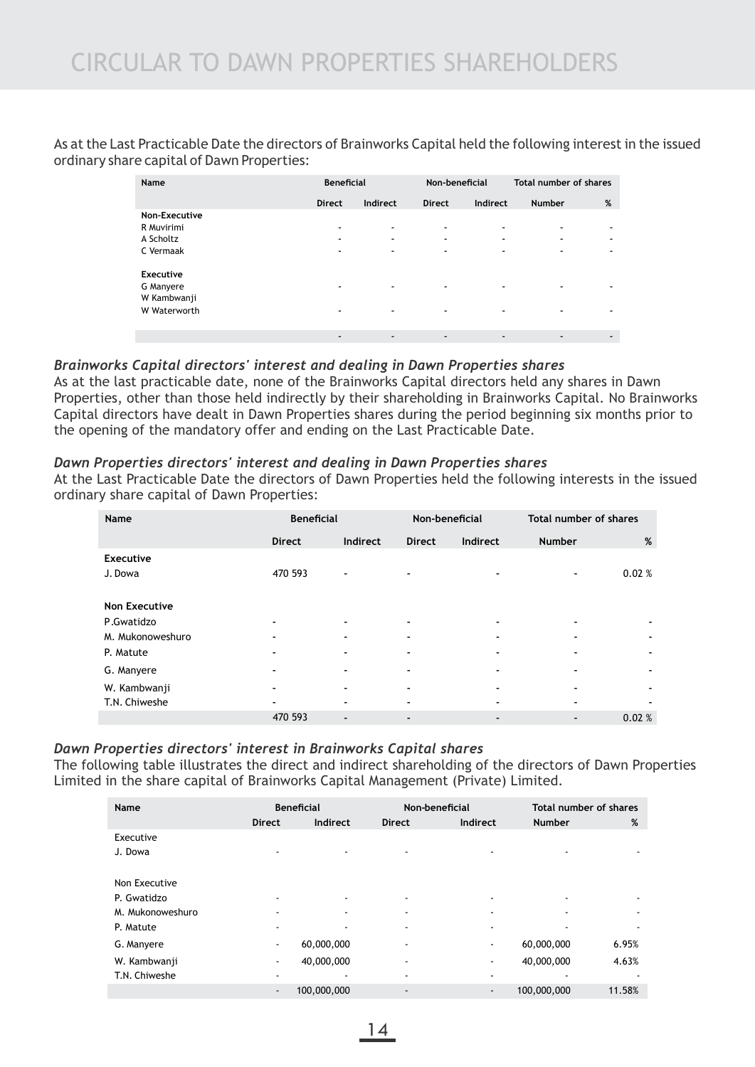As at the Last Practicable Date the directors of Brainworks Capital held the following interest in the issued ordinary share capital of Dawn Properties:

| Name                                                  | <b>Beneficial</b>             |             | Non-beneficial                |                                                           | Total number of shares                               |   |
|-------------------------------------------------------|-------------------------------|-------------|-------------------------------|-----------------------------------------------------------|------------------------------------------------------|---|
|                                                       | <b>Direct</b>                 | Indirect    | <b>Direct</b>                 | Indirect                                                  | <b>Number</b>                                        | % |
| Non-Executive<br>R Muvirimi<br>A Scholtz<br>C Vermaak | ۰                             | ۰<br>۰<br>۰ | ٠<br>۰<br>$\blacksquare$      | $\overline{\phantom{a}}$<br>٠<br>$\overline{\phantom{a}}$ | $\overline{\phantom{a}}$<br>$\overline{\phantom{a}}$ | ٠ |
| Executive<br>G Manyere<br>W Kambwanji<br>W Waterworth | ۰<br>$\overline{\phantom{a}}$ | ۰<br>۰      | $\overline{\phantom{a}}$<br>٠ | $\overline{\phantom{a}}$<br>$\overline{\phantom{a}}$      |                                                      |   |
|                                                       | $\blacksquare$                | ۰           | $\overline{\phantom{a}}$      | $\overline{\phantom{a}}$                                  |                                                      | - |

#### *Brainworks Capital directors' interest and dealing in Dawn Properties shares*

As at the last practicable date, none of the Brainworks Capital directors held any shares in Dawn Properties, other than those held indirectly by their shareholding in Brainworks Capital. No Brainworks Capital directors have dealt in Dawn Properties shares during the period beginning six months prior to the opening of the mandatory offer and ending on the Last Practicable Date.

#### *Dawn Properties directors' interest and dealing in Dawn Properties shares*

At the Last Practicable Date the directors of Dawn Properties held the following interests in the issued ordinary share capital of Dawn Properties:

| Name                 |               | <b>Beneficial</b>        |                | Non-beneficial | Total number of shares |       |
|----------------------|---------------|--------------------------|----------------|----------------|------------------------|-------|
|                      | <b>Direct</b> | Indirect                 | <b>Direct</b>  | Indirect       | <b>Number</b>          | %     |
| <b>Executive</b>     |               |                          |                |                |                        |       |
| J. Dowa              | 470 593       | ٠                        |                |                | ٠                      | 0.02% |
|                      |               |                          |                |                |                        |       |
| <b>Non Executive</b> |               |                          |                |                |                        |       |
| P.Gwatidzo           |               | $\overline{\phantom{0}}$ |                |                |                        | ٠     |
| M. Mukonoweshuro     |               | ٠                        |                |                |                        | ۰     |
| P. Matute            |               | $\overline{\phantom{a}}$ |                |                |                        | ٠     |
| G. Manyere           |               | $\overline{\phantom{a}}$ |                |                | -                      | ٠     |
| W. Kambwanji         |               | $\overline{\phantom{a}}$ |                |                |                        | ۰     |
| T.N. Chiweshe        |               | ٠                        |                |                |                        |       |
|                      | 470 593       | ۰                        | $\blacksquare$ |                |                        | 0.02% |

## *Dawn Properties directors' interest in Brainworks Capital shares*

The following table illustrates the direct and indirect shareholding of the directors of Dawn Properties Limited in the share capital of Brainworks Capital Management (Private) Limited.

| Name             |                          | <b>Beneficial</b> |                | Non-beneficial           | Total number of shares |        |
|------------------|--------------------------|-------------------|----------------|--------------------------|------------------------|--------|
|                  | <b>Direct</b>            | Indirect          | <b>Direct</b>  | Indirect                 | <b>Number</b>          | %      |
| Executive        |                          |                   |                |                          |                        |        |
| J. Dowa          | $\blacksquare$           | ٠                 | ۰              | ۰                        |                        |        |
|                  |                          |                   |                |                          |                        |        |
| Non Executive    |                          |                   |                |                          |                        |        |
| P. Gwatidzo      | $\blacksquare$           |                   | ۰              | ۰                        |                        |        |
| M. Mukonoweshuro | $\blacksquare$           |                   | ۰              | ۰                        |                        |        |
| P. Matute        |                          |                   | ۰              | ۰                        |                        |        |
| G. Manyere       | $\blacksquare$           | 60,000,000        | ٠              | ٠                        | 60,000,000             | 6.95%  |
| W. Kambwanji     | $\overline{\phantom{a}}$ | 40,000,000        | ٠              | $\overline{\phantom{a}}$ | 40,000,000             | 4.63%  |
| T.N. Chiweshe    | $\blacksquare$           |                   | ۰              | ۰                        |                        |        |
|                  | $\overline{\phantom{a}}$ | 100,000,000       | $\blacksquare$ | $\blacksquare$           | 100,000,000            | 11.58% |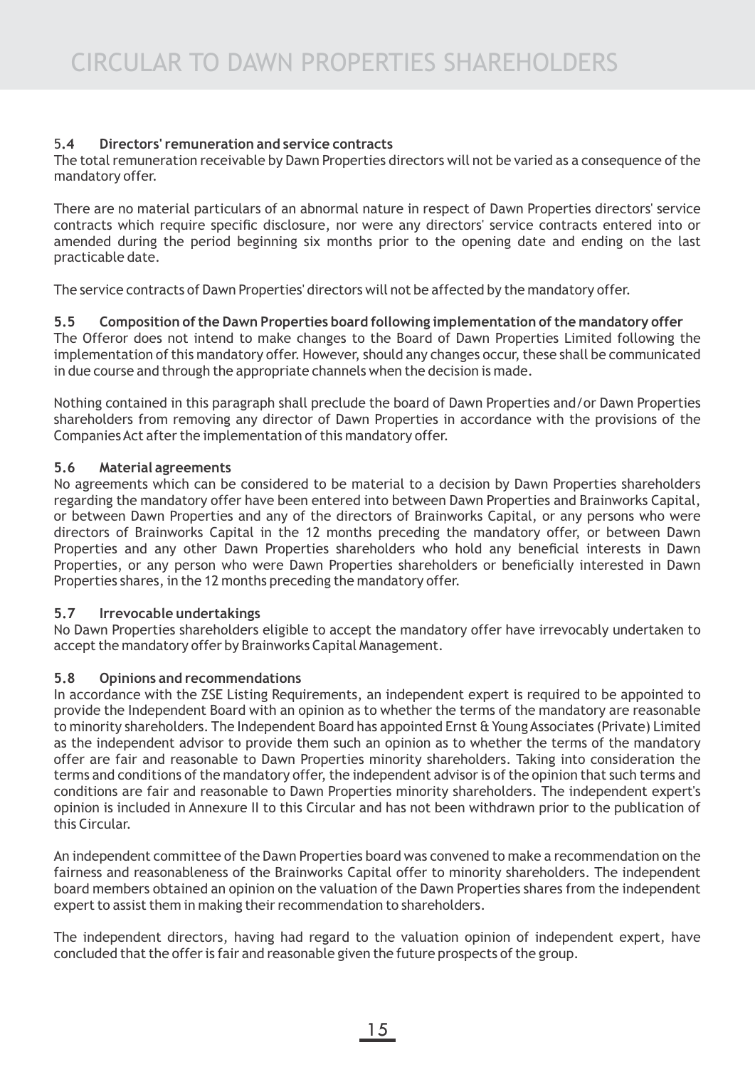## 5**.4 Directors' remuneration and service contracts**

The total remuneration receivable by Dawn Properties directors will not be varied as a consequence of the mandatory offer.

There are no material particulars of an abnormal nature in respect of Dawn Properties directors' service contracts which require specific disclosure, nor were any directors' service contracts entered into or amended during the period beginning six months prior to the opening date and ending on the last practicable date.

The service contracts of Dawn Properties' directors will not be affected by the mandatory offer.

### **5.5 Composition of the Dawn Properties board following implementation of the mandatory offer**

The Offeror does not intend to make changes to the Board of Dawn Properties Limited following the implementation of this mandatory offer. However, should any changes occur, these shall be communicated in due course and through the appropriate channels when the decision is made.

Nothing contained in this paragraph shall preclude the board of Dawn Properties and/or Dawn Properties shareholders from removing any director of Dawn Properties in accordance with the provisions of the Companies Act after the implementation of this mandatory offer.

### **5.6 Material agreements**

No agreements which can be considered to be material to a decision by Dawn Properties shareholders regarding the mandatory offer have been entered into between Dawn Properties and Brainworks Capital, or between Dawn Properties and any of the directors of Brainworks Capital, or any persons who were directors of Brainworks Capital in the 12 months preceding the mandatory offer, or between Dawn Properties and any other Dawn Properties shareholders who hold any beneficial interests in Dawn Properties, or any person who were Dawn Properties shareholders or beneficially interested in Dawn Properties shares, in the 12 months preceding the mandatory offer.

### **5.7 Irrevocable undertakings**

No Dawn Properties shareholders eligible to accept the mandatory offer have irrevocably undertaken to accept the mandatory offer by Brainworks Capital Management.

### **5.8 Opinions and recommendations**

In accordance with the ZSE Listing Requirements, an independent expert is required to be appointed to provide the Independent Board with an opinion as to whether the terms of the mandatory are reasonable to minority shareholders. The Independent Board has appointed Ernst & Young Associates (Private) Limited as the independent advisor to provide them such an opinion as to whether the terms of the mandatory offer are fair and reasonable to Dawn Properties minority shareholders. Taking into consideration the terms and conditions of the mandatory offer, the independent advisor is of the opinion that such terms and conditions are fair and reasonable to Dawn Properties minority shareholders. The independent expert's opinion is included in Annexure II to this Circular and has not been withdrawn prior to the publication of this Circular.

An independent committee of the Dawn Properties board was convened to make a recommendation on the fairness and reasonableness of the Brainworks Capital offer to minority shareholders. The independent board members obtained an opinion on the valuation of the Dawn Properties shares from the independent expert to assist them in making their recommendation to shareholders.

The independent directors, having had regard to the valuation opinion of independent expert, have concluded that the offer is fair and reasonable given the future prospects of the group.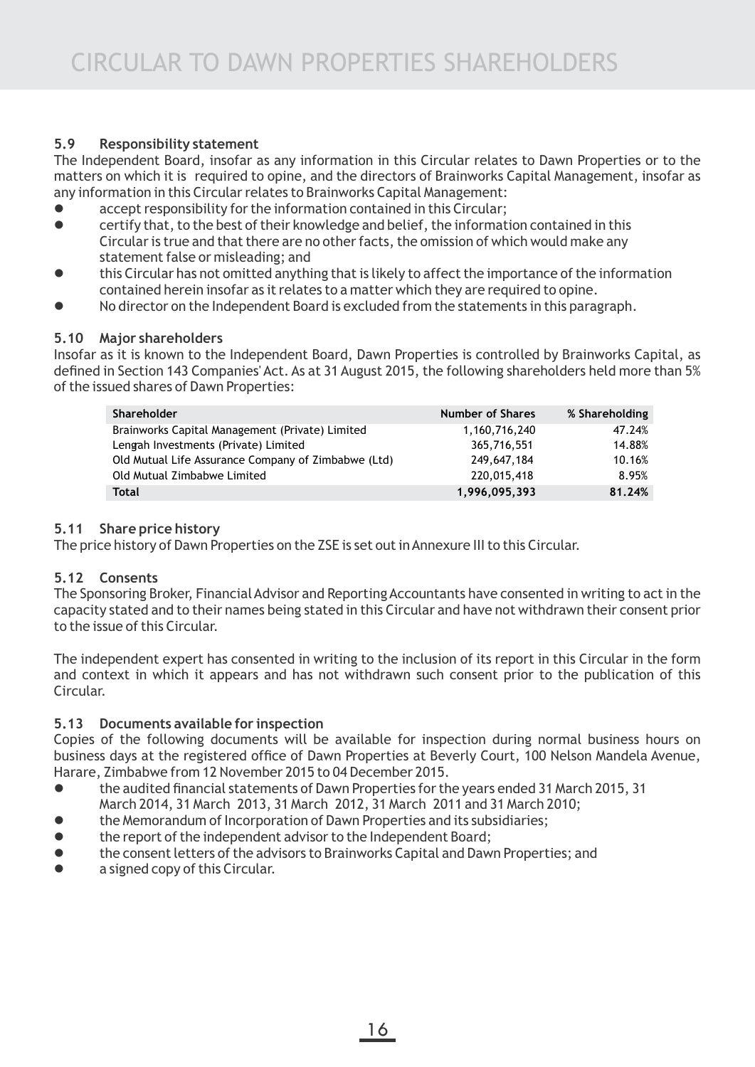## **5.9 Responsibility statement**

The Independent Board, insofar as any information in this Circular relates to Dawn Properties or to the matters on which it is required to opine, and the directors of Brainworks Capital Management, insofar as any information in this Circular relates to Brainworks Capital Management:

- $\bullet$  accept responsibility for the information contained in this Circular;
- **e** certify that, to the best of their knowledge and belief, the information contained in this Circular is true and that there are no other facts, the omission of which would make any statement false or misleading; and
- this Circular has not omitted anything that is likely to affect the importance of the information contained herein insofar as it relates to a matter which they are required to opine.
- l No director on the Independent Board is excluded from the statements in this paragraph.

### **5.10 Major shareholders**

Insofar as it is known to the Independent Board, Dawn Properties is controlled by Brainworks Capital, as defined in Section 143 Companies' Act. As at 31 August 2015, the following shareholders held more than 5% of the issued shares of Dawn Properties:

| <b>Shareholder</b>                                  | <b>Number of Shares</b> | % Shareholding |
|-----------------------------------------------------|-------------------------|----------------|
| Brainworks Capital Management (Private) Limited     | 1,160,716,240           | 47.24%         |
| Lengah Investments (Private) Limited                | 365,716,551             | 14.88%         |
| Old Mutual Life Assurance Company of Zimbabwe (Ltd) | 249,647,184             | 10.16%         |
| Old Mutual Zimbabwe Limited                         | 220,015,418             | 8.95%          |
| Total                                               | 1,996,095,393           | 81.24%         |

### **5.11 Share price history**

The price history of Dawn Properties on the ZSE is set out in Annexure III to this Circular.

### **5.12 Consents**

The Sponsoring Broker, Financial Advisor and Reporting Accountants have consented in writing to act in the capacity stated and to their names being stated in this Circular and have not withdrawn their consent prior to the issue of this Circular.

The independent expert has consented in writing to the inclusion of its report in this Circular in the form and context in which it appears and has not withdrawn such consent prior to the publication of this Circular.

## **5.13 Documents available for inspection**

Copies of the following documents will be available for inspection during normal business hours on business days at the registered office of Dawn Properties at Beverly Court, 100 Nelson Mandela Avenue, Harare, Zimbabwe from 12 November 2015 to 04 December 2015.

- **•** the audited financial statements of Dawn Properties for the years ended 31 March 2015, 31 March 2014, 31 March 2013, 31 March 2012, 31 March 2011 and 31 March 2010;
- **•** the Memorandum of Incorporation of Dawn Properties and its subsidiaries;
- **•** the report of the independent advisor to the Independent Board;
- **•** the consent letters of the advisors to Brainworks Capital and Dawn Properties; and
- **•** a signed copy of this Circular.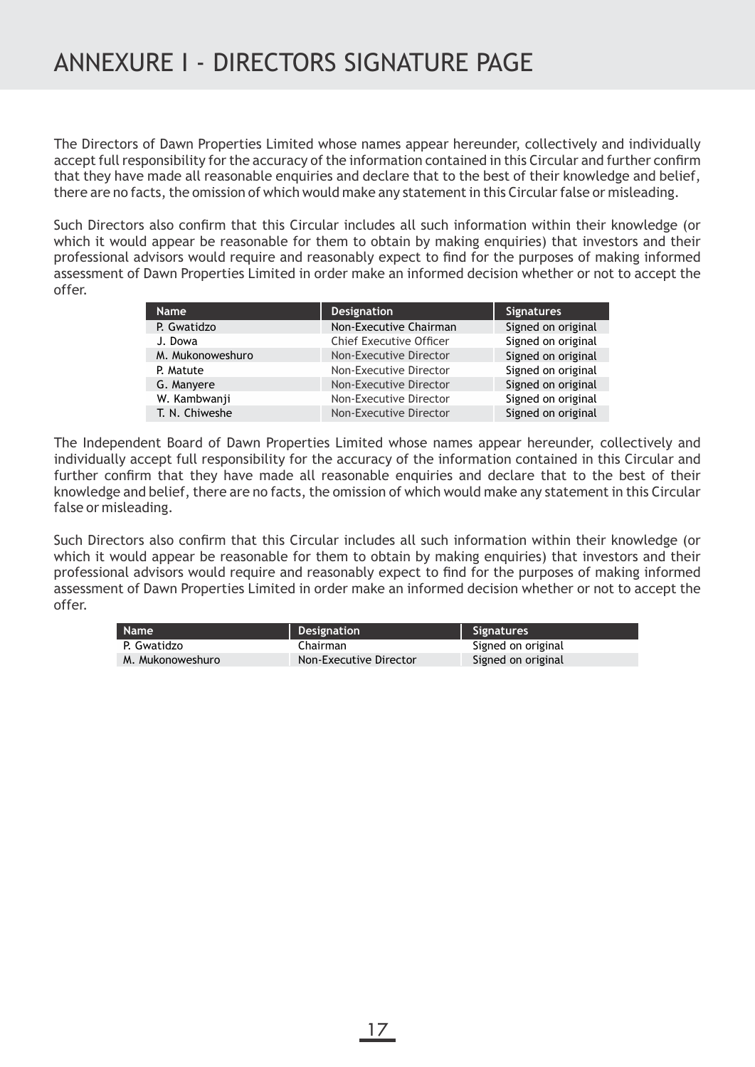The Directors of Dawn Properties Limited whose names appear hereunder, collectively and individually accept full responsibility for the accuracy of the information contained in this Circular and further confirm that they have made all reasonable enquiries and declare that to the best of their knowledge and belief, there are no facts, the omission of which would make any statement in this Circular false or misleading.

Such Directors also confirm that this Circular includes all such information within their knowledge (or which it would appear be reasonable for them to obtain by making enquiries) that investors and their professional advisors would require and reasonably expect to find for the purposes of making informed assessment of Dawn Properties Limited in order make an informed decision whether or not to accept the offer.

| <b>Name</b>      | <b>Designation</b>             | <b>Signatures</b>  |
|------------------|--------------------------------|--------------------|
| P. Gwatidzo      | Non-Executive Chairman         | Signed on original |
| J. Dowa          | <b>Chief Executive Officer</b> | Signed on original |
| M. Mukonoweshuro | Non-Executive Director         | Signed on original |
| P. Matute        | Non-Executive Director         | Signed on original |
| G. Manyere       | Non-Executive Director         | Signed on original |
| W. Kambwanji     | Non-Executive Director         | Signed on original |
| T. N. Chiweshe   | Non-Executive Director         | Signed on original |

The Independent Board of Dawn Properties Limited whose names appear hereunder, collectively and individually accept full responsibility for the accuracy of the information contained in this Circular and further confirm that they have made all reasonable enquiries and declare that to the best of their knowledge and belief, there are no facts, the omission of which would make any statement in this Circular false or misleading.

Such Directors also confirm that this Circular includes all such information within their knowledge (or which it would appear be reasonable for them to obtain by making enquiries) that investors and their professional advisors would require and reasonably expect to find for the purposes of making informed assessment of Dawn Properties Limited in order make an informed decision whether or not to accept the offer.

| <b>Name</b>      | Designation            | signatures i       |
|------------------|------------------------|--------------------|
| P. Gwatidzo      | Chairman               | Signed on original |
| M. Mukonoweshuro | Non-Executive Director | Signed on original |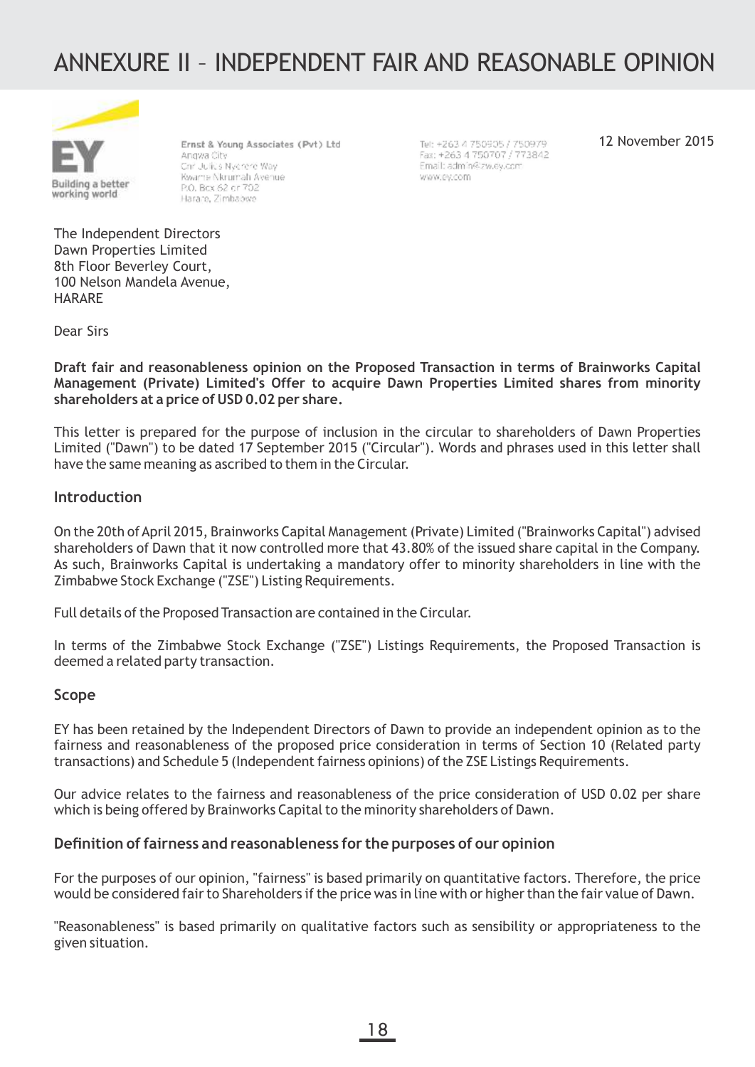# ANNEXURE II – INDEPENDENT FAIR AND REASONABLE OPINION



Ernst & Young Associates (Pvt) Ltd Angwa City Christulius Nyerere Way Kwarte Nkrumah Avenue P.O. Bcx 62 or 702 Harare, Zimbabwe

Tel: +263.4 750905.7 750979. Fax: +263 4 750707 / 773842 Email: admin@zw.ev.com www.ey.com

12 November 2015

The Independent Directors Dawn Properties Limited 8th Floor Beverley Court, 100 Nelson Mandela Avenue, HARARE

Dear Sirs

**Draft fair and reasonableness opinion on the Proposed Transaction in terms of Brainworks Capital Management (Private) Limited's Offer to acquire Dawn Properties Limited shares from minority shareholders at a price of USD 0.02 per share.**

This letter is prepared for the purpose of inclusion in the circular to shareholders of Dawn Properties Limited ("Dawn") to be dated 17 September 2015 ("Circular"). Words and phrases used in this letter shall have the same meaning as ascribed to them in the Circular.

#### **Introduction**

On the 20th of April 2015, Brainworks Capital Management (Private) Limited ("Brainworks Capital") advised shareholders of Dawn that it now controlled more that 43.80% of the issued share capital in the Company. As such, Brainworks Capital is undertaking a mandatory offer to minority shareholders in line with the Zimbabwe Stock Exchange ("ZSE") Listing Requirements.

Full details of the Proposed Transaction are contained in the Circular.

In terms of the Zimbabwe Stock Exchange ("ZSE") Listings Requirements, the Proposed Transaction is deemed a related party transaction.

#### **Scope**

EY has been retained by the Independent Directors of Dawn to provide an independent opinion as to the fairness and reasonableness of the proposed price consideration in terms of Section 10 (Related party transactions) and Schedule 5 (Independent fairness opinions) of the ZSE Listings Requirements.

Our advice relates to the fairness and reasonableness of the price consideration of USD 0.02 per share which is being offered by Brainworks Capital to the minority shareholders of Dawn.

#### **Definition of fairness and reasonableness for the purposes of our opinion**

For the purposes of our opinion, "fairness" is based primarily on quantitative factors. Therefore, the price would be considered fair to Shareholders if the price was in line with or higher than the fair value of Dawn.

"Reasonableness" is based primarily on qualitative factors such as sensibility or appropriateness to the given situation.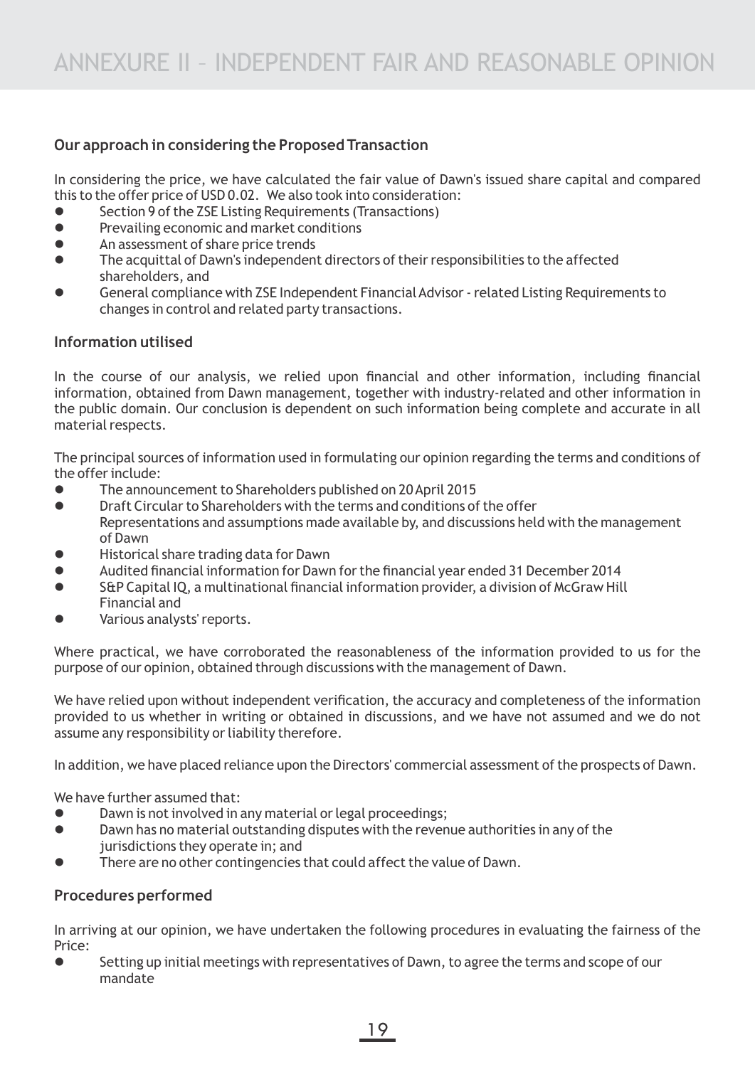## **Our approach in considering the Proposed Transaction**

In considering the price, we have calculated the fair value of Dawn's issued share capital and compared this to the offer price of USD 0.02. We also took into consideration:

- Section 9 of the ZSE Listing Requirements (Transactions)
- **•** Prevailing economic and market conditions
- An assessment of share price trends
- **The acquittal of Dawn's independent directors of their responsibilities to the affected** shareholders, and
- General compliance with ZSE Independent Financial Advisor related Listing Requirements to changes in control and related party transactions.

## **Information utilised**

In the course of our analysis, we relied upon financial and other information, including financial information, obtained from Dawn management, together with industry-related and other information in the public domain. Our conclusion is dependent on such information being complete and accurate in all material respects.

The principal sources of information used in formulating our opinion regarding the terms and conditions of the offer include:

- l The announcement to Shareholders published on 20 April 2015
- **•** Draft Circular to Shareholders with the terms and conditions of the offer Representations and assumptions made available by, and discussions held with the management of Dawn
- **.** Historical share trading data for Dawn
- l Audited financial information for Dawn for the financial year ended 31 December 2014
- l S&P Capital IQ, a multinational financial information provider, a division of McGraw Hill Financial and
- Various analysts' reports.

Where practical, we have corroborated the reasonableness of the information provided to us for the purpose of our opinion, obtained through discussions with the management of Dawn.

We have relied upon without independent verification, the accuracy and completeness of the information provided to us whether in writing or obtained in discussions, and we have not assumed and we do not assume any responsibility or liability therefore.

In addition, we have placed reliance upon the Directors' commercial assessment of the prospects of Dawn.

We have further assumed that:

- Dawn is not involved in any material or legal proceedings;
- **•** Dawn has no material outstanding disputes with the revenue authorities in any of the jurisdictions they operate in; and
- There are no other contingencies that could affect the value of Dawn.

## **Procedures performed**

In arriving at our opinion, we have undertaken the following procedures in evaluating the fairness of the Price:

Setting up initial meetings with representatives of Dawn, to agree the terms and scope of our mandate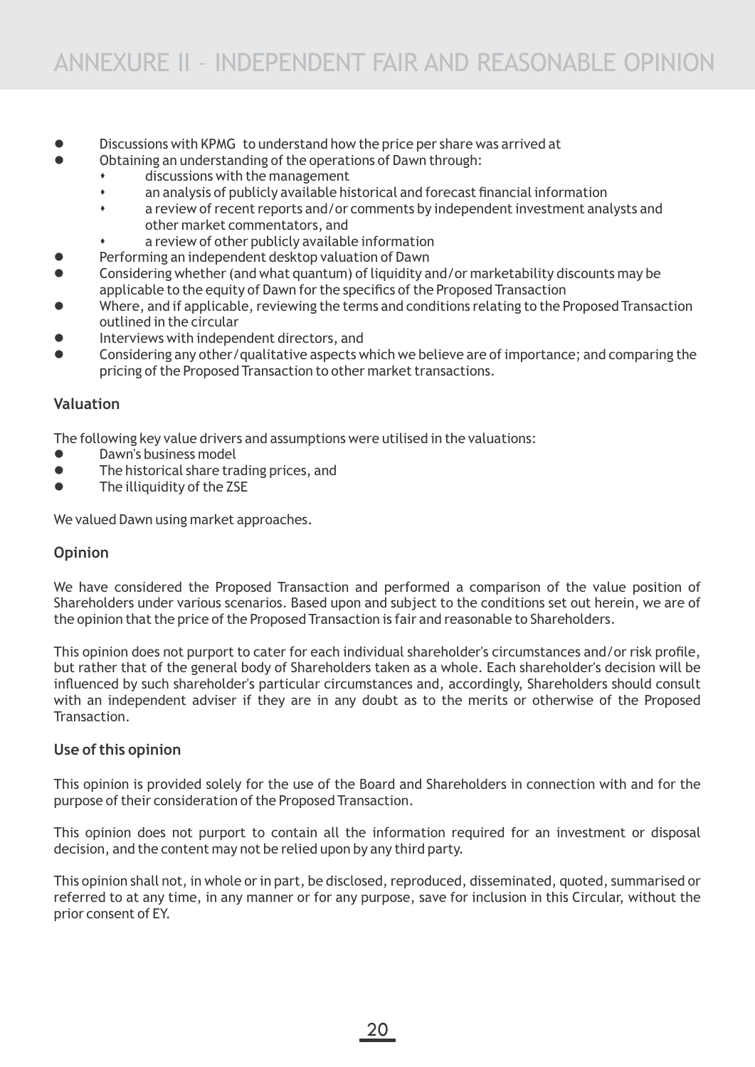- Discussions with KPMG to understand how the price per share was arrived at
- Obtaining an understanding of the operations of Dawn through:
	- discussions with the management
	- s an analysis of publicly available historical and forecast financial information
	- \* a review of recent reports and/or comments by independent investment analysts and other market commentators, and
	- a review of other publicly available information
- Performing an independent desktop valuation of Dawn
- l Considering whether (and what quantum) of liquidity and/or marketability discounts may be applicable to the equity of Dawn for the specifics of the Proposed Transaction
- l Where, and if applicable, reviewing the terms and conditions relating to the Proposed Transaction outlined in the circular
- Interviews with independent directors, and
- l Considering any other/qualitative aspects which we believe are of importance; and comparing the pricing of the Proposed Transaction to other market transactions.

### **Valuation**

The following key value drivers and assumptions were utilised in the valuations:

- l Dawn's business model
- $\bullet$  The historical share trading prices, and
- $\bullet$  The illiquidity of the ZSE

We valued Dawn using market approaches.

### **Opinion**

We have considered the Proposed Transaction and performed a comparison of the value position of Shareholders under various scenarios. Based upon and subject to the conditions set out herein, we are of the opinion that the price of the Proposed Transaction is fair and reasonable to Shareholders.

This opinion does not purport to cater for each individual shareholder's circumstances and/or risk profile, but rather that of the general body of Shareholders taken as a whole. Each shareholder's decision will be influenced by such shareholder's particular circumstances and, accordingly, Shareholders should consult with an independent adviser if they are in any doubt as to the merits or otherwise of the Proposed **Transaction** 

## **Use of this opinion**

This opinion is provided solely for the use of the Board and Shareholders in connection with and for the purpose of their consideration of the Proposed Transaction.

This opinion does not purport to contain all the information required for an investment or disposal decision, and the content may not be relied upon by any third party.

This opinion shall not, in whole or in part, be disclosed, reproduced, disseminated, quoted, summarised or referred to at any time, in any manner or for any purpose, save for inclusion in this Circular, without the prior consent of EY.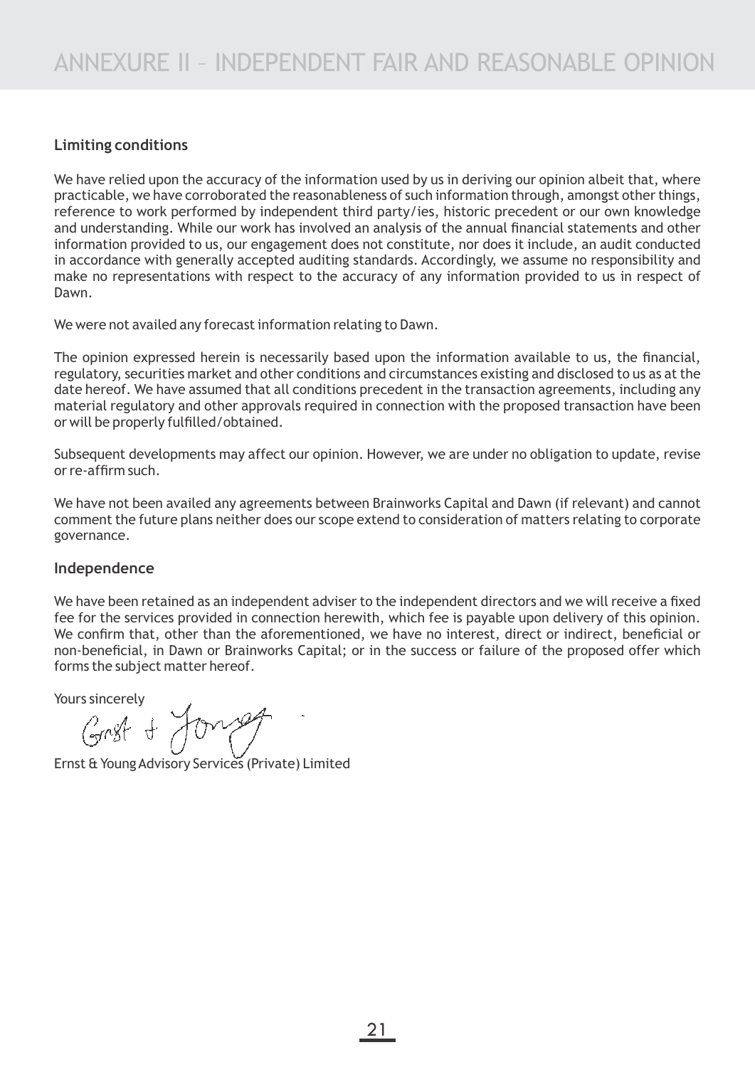## **Limiting conditions**

We have relied upon the accuracy of the information used by us in deriving our opinion albeit that, where practicable, we have corroborated the reasonableness of such information through, amongst other things, reference to work performed by independent third party/ies, historic precedent or our own knowledge and understanding. While our work has involved an analysis of the annual financial statements and other information provided to us, our engagement does not constitute, nor does it include, an audit conducted in accordance with generally accepted auditing standards. Accordingly, we assume no responsibility and make no representations with respect to the accuracy of any information provided to us in respect of Dawn.

We were not availed any forecast information relating to Dawn.

The opinion expressed herein is necessarily based upon the information available to us, the financial, regulatory, securities market and other conditions and circumstances existing and disclosed to us as at the date hereof. We have assumed that all conditions precedent in the transaction agreements, including any material regulatory and other approvals required in connection with the proposed transaction have been or will be properly fulfilled/obtained.

Subsequent developments may affect our opinion. However, we are under no obligation to update, revise or re-affirm such.

We have not been availed any agreements between Brainworks Capital and Dawn (if relevant) and cannot comment the future plans neither does our scope extend to consideration of matters relating to corporate governance.

### **Independence**

We have been retained as an independent adviser to the independent directors and we will receive a fixed fee for the services provided in connection herewith, which fee is payable upon delivery of this opinion. We confirm that, other than the aforementioned, we have no interest, direct or indirect, beneficial or non-beneficial, in Dawn or Brainworks Capital; or in the success or failure of the proposed offer which forms the subject matter hereof.

Yours sincerely<br>Grast + Young

Ernst & Young Advisory Services (Private) Limited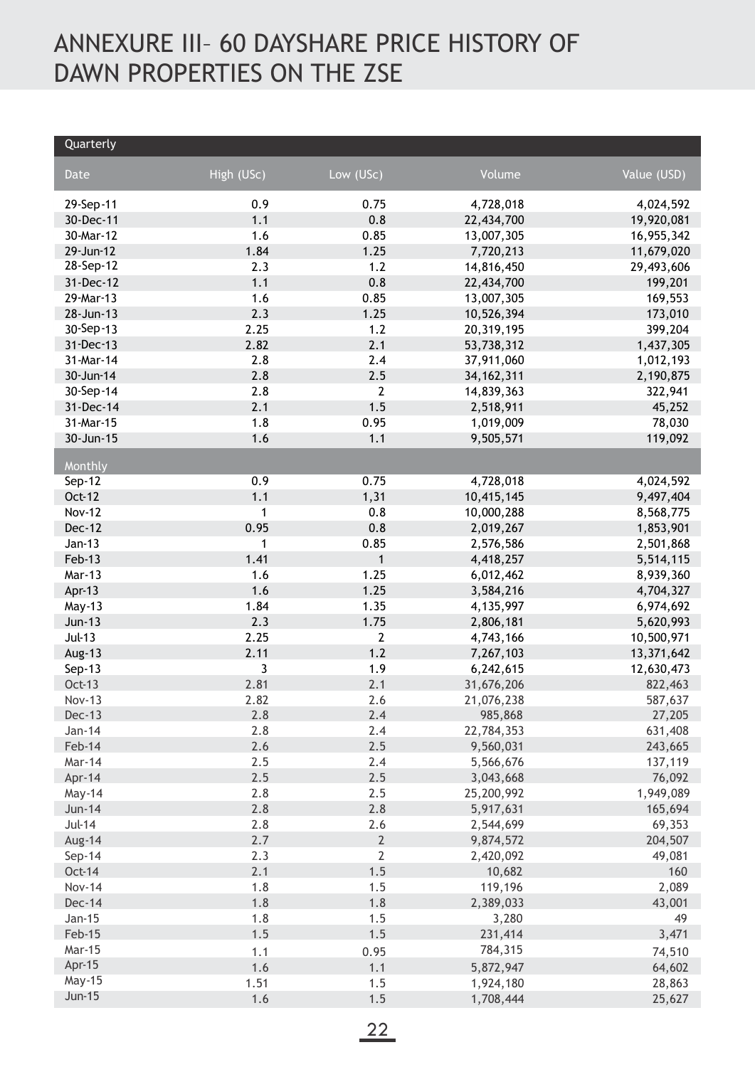# ANNEXURE III– 60 DAYSHARE PRICE HISTORY OF DAWN PROPERTIES ON THE ZSE

| Quarterly     |            |                |              |             |
|---------------|------------|----------------|--------------|-------------|
| Date          | High (USc) | Low (USc)      | Volume       | Value (USD) |
| 29-Sep-11     | 0.9        | 0.75           | 4,728,018    | 4,024,592   |
| 30-Dec-11     | 1.1        | 0.8            | 22,434,700   | 19,920,081  |
| 30-Mar-12     | 1.6        | 0.85           | 13,007,305   | 16,955,342  |
| 29-Jun-12     | 1.84       | 1.25           | 7,720,213    | 11,679,020  |
| 28-Sep-12     | 2.3        | 1.2            | 14,816,450   | 29,493,606  |
| 31-Dec-12     | 1.1        | 0.8            | 22,434,700   | 199,201     |
| 29-Mar-13     | 1.6        | 0.85           | 13,007,305   | 169,553     |
| 28-Jun-13     | 2.3        | 1.25           | 10,526,394   | 173,010     |
| 30-Sep-13     | 2.25       | 1.2            | 20,319,195   | 399,204     |
| 31-Dec-13     | 2.82       | 2.1            | 53,738,312   | 1,437,305   |
| 31-Mar-14     | 2.8        | 2.4            | 37,911,060   | 1,012,193   |
| 30-Jun-14     | 2.8        | 2.5            | 34, 162, 311 | 2,190,875   |
| 30-Sep-14     | 2.8        | $\mathbf{2}$   | 14,839,363   | 322,941     |
| 31-Dec-14     | 2.1        | 1.5            | 2,518,911    | 45,252      |
| 31-Mar-15     | 1.8        | 0.95           | 1,019,009    | 78,030      |
| 30-Jun-15     | 1.6        | 1.1            | 9,505,571    | 119,092     |
| Monthly       |            |                |              |             |
| Sep-12        | 0.9        | 0.75           | 4,728,018    | 4,024,592   |
| Oct-12        | 1.1        | 1,31           | 10,415,145   | 9,497,404   |
| <b>Nov-12</b> | 1          | 0.8            | 10,000,288   | 8,568,775   |
| Dec-12        | 0.95       | 0.8            | 2,019,267    | 1,853,901   |
| $Jan-13$      | 1          | 0.85           | 2,576,586    | 2,501,868   |
| Feb-13        | 1.41       | $\mathbf{1}$   | 4,418,257    | 5,514,115   |
| Mar-13        | 1.6        | 1.25           | 6,012,462    | 8,939,360   |
| Apr-13        | 1.6        | 1.25           | 3,584,216    | 4,704,327   |
| May-13        | 1.84       | 1.35           | 4,135,997    | 6,974,692   |
| <b>Jun-13</b> | 2.3        | 1.75           | 2,806,181    | 5,620,993   |
| <b>Jul-13</b> | 2.25       | 2              | 4,743,166    | 10,500,971  |
| Aug-13        | 2.11       | 1.2            | 7,267,103    | 13,371,642  |
| Sep-13        | 3          | 1.9            | 6,242,615    | 12,630,473  |
| <b>Oct-13</b> | 2.81       | 2.1            | 31,676,206   | 822,463     |
| <b>Nov-13</b> | 2.82       | 2.6            | 21,076,238   | 587,637     |
| <b>Dec-13</b> | 2.8        | 2.4            | 985,868      | 27,205      |
| Jan-14        | 2.8        | 2.4            | 22,784,353   | 631,408     |
| Feb-14        | 2.6        | 2.5            | 9,560,031    | 243,665     |
| Mar-14        | 2.5        | 2.4            | 5,566,676    | 137,119     |
| Apr-14        | 2.5        | 2.5            | 3,043,668    | 76,092      |
| May-14        | 2.8        | 2.5            | 25,200,992   | 1,949,089   |
| <b>Jun-14</b> | 2.8        | 2.8            | 5,917,631    | 165,694     |
| <b>Jul-14</b> | 2.8        | 2.6            | 2,544,699    | 69,353      |
| Aug-14        | 2.7        | $\overline{2}$ | 9,874,572    | 204,507     |
| Sep-14        | 2.3        | $\mathbf 2$    | 2,420,092    | 49,081      |
| <b>Oct-14</b> | 2.1        | 1.5            | 10,682       | 160         |
| <b>Nov-14</b> | 1.8        | 1.5            | 119,196      | 2,089       |
| <b>Dec-14</b> | 1.8        | 1.8            | 2,389,033    | 43,001      |
| Jan-15        | 1.8        | 1.5            | 3,280        | 49          |
| Feb-15        | 1.5        | 1.5            | 231,414      | 3,471       |
| Mar-15        | 1.1        | 0.95           | 784,315      | 74,510      |
| Apr-15        | 1.6        | 1.1            | 5,872,947    | 64,602      |
| May-15        | 1.51       | 1.5            | 1,924,180    | 28,863      |
| <b>Jun-15</b> | 1.6        | 1.5            | 1,708,444    | 25,627      |
|               |            |                |              |             |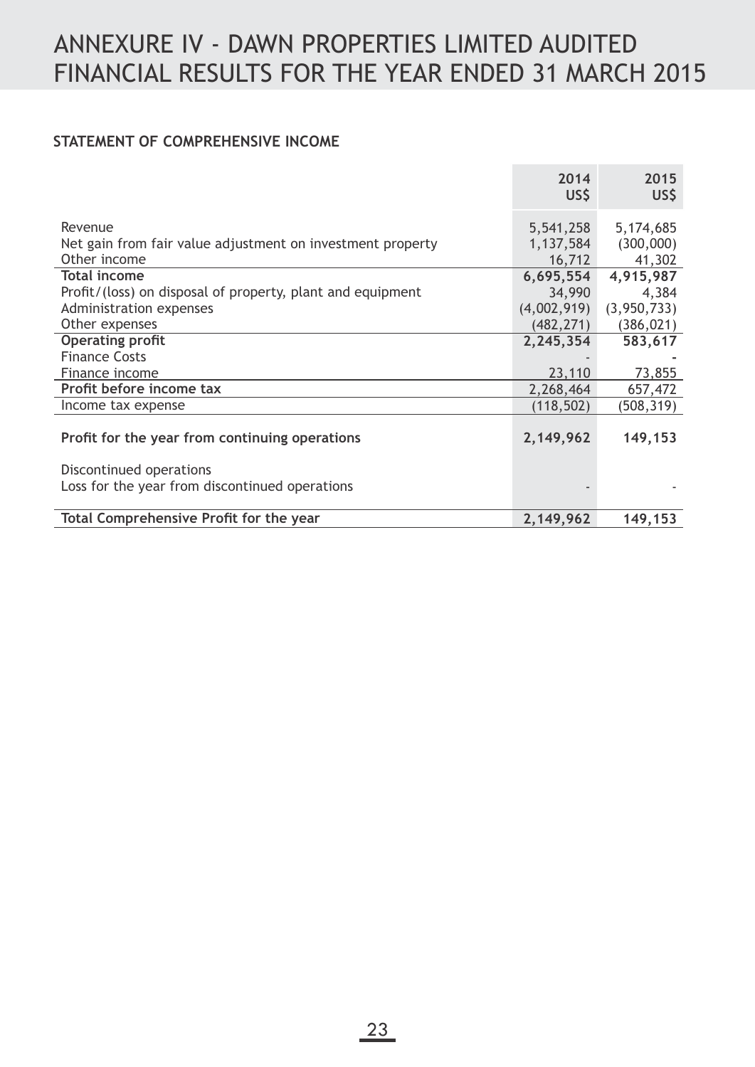## **STATEMENT OF COMPREHENSIVE INCOME**

|                                                            | 2014<br>US\$ | 2015<br>US\$  |
|------------------------------------------------------------|--------------|---------------|
|                                                            |              |               |
| Revenue                                                    | 5,541,258    | 5,174,685     |
| Net gain from fair value adjustment on investment property | 1,137,584    | (300,000)     |
| Other income                                               | 16,712       | 41,302        |
| <b>Total income</b>                                        | 6,695,554    | 4,915,987     |
| Profit/(loss) on disposal of property, plant and equipment | 34,990       | 4,384         |
| Administration expenses                                    | (4,002,919)  | (3, 950, 733) |
| Other expenses                                             | (482, 271)   | (386, 021)    |
| <b>Operating profit</b>                                    | 2,245,354    | 583,617       |
| <b>Finance Costs</b>                                       |              |               |
| Finance income                                             | 23,110       | 73,855        |
| Profit before income tax                                   | 2,268,464    | 657,472       |
| Income tax expense                                         | (118, 502)   | (508, 319)    |
|                                                            |              |               |
| Profit for the year from continuing operations             | 2,149,962    | 149,153       |
|                                                            |              |               |
| Discontinued operations                                    |              |               |
| Loss for the year from discontinued operations             |              |               |
|                                                            |              |               |
| Total Comprehensive Profit for the year                    | 2,149,962    | 149,153       |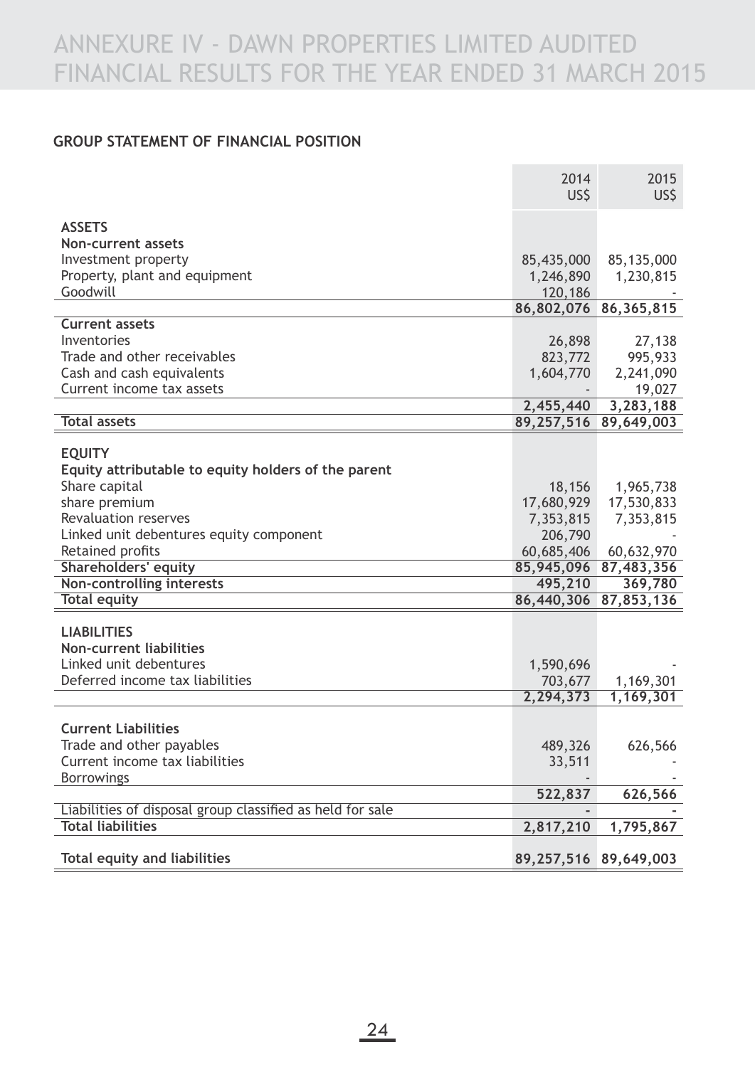## **GROUP STATEMENT OF FINANCIAL POSITION**

|                                                           | 2014<br>US\$          | 2015<br>US\$          |
|-----------------------------------------------------------|-----------------------|-----------------------|
|                                                           |                       |                       |
| <b>ASSETS</b>                                             |                       |                       |
| Non-current assets                                        |                       |                       |
| Investment property                                       | 85,435,000            | 85,135,000            |
| Property, plant and equipment                             | 1,246,890             | 1,230,815             |
| Goodwill                                                  | 120,186               |                       |
| <b>Current assets</b>                                     |                       | 86,802,076 86,365,815 |
| Inventories                                               | 26,898                | 27,138                |
| Trade and other receivables                               | 823,772               | 995,933               |
| Cash and cash equivalents                                 | 1,604,770             | 2,241,090             |
| Current income tax assets                                 |                       | 19,027                |
|                                                           | 2,455,440             | 3,283,188             |
| <b>Total assets</b>                                       |                       | 89,257,516 89,649,003 |
|                                                           |                       |                       |
| <b>EQUITY</b>                                             |                       |                       |
| Equity attributable to equity holders of the parent       |                       |                       |
| Share capital                                             | 18,156                | 1,965,738             |
| share premium                                             | 17,680,929            | 17,530,833            |
| <b>Revaluation reserves</b>                               | 7,353,815             | 7,353,815             |
| Linked unit debentures equity component                   | 206,790               |                       |
| Retained profits                                          | 60,685,406            | 60,632,970            |
| <b>Shareholders' equity</b>                               | 85,945,096            | 87,483,356            |
| <b>Non-controlling interests</b>                          | 495,210               | 369,780               |
| <b>Total equity</b>                                       | 86,440,306            | 87,853,136            |
| <b>LIABILITIES</b>                                        |                       |                       |
| <b>Non-current liabilities</b>                            |                       |                       |
| Linked unit debentures                                    | 1,590,696             |                       |
| Deferred income tax liabilities                           | 703,677               | 1,169,301             |
|                                                           | 2,294,373             | 1,169,301             |
|                                                           |                       |                       |
| <b>Current Liabilities</b>                                |                       |                       |
| Trade and other payables                                  | 489,326               | 626,566               |
| Current income tax liabilities                            | 33,511                |                       |
| <b>Borrowings</b>                                         |                       |                       |
|                                                           | 522,837               | 626,566               |
| Liabilities of disposal group classified as held for sale |                       |                       |
| <b>Total liabilities</b>                                  | 2,817,210             | 1,795,867             |
|                                                           |                       |                       |
| <b>Total equity and liabilities</b>                       | 89,257,516 89,649,003 |                       |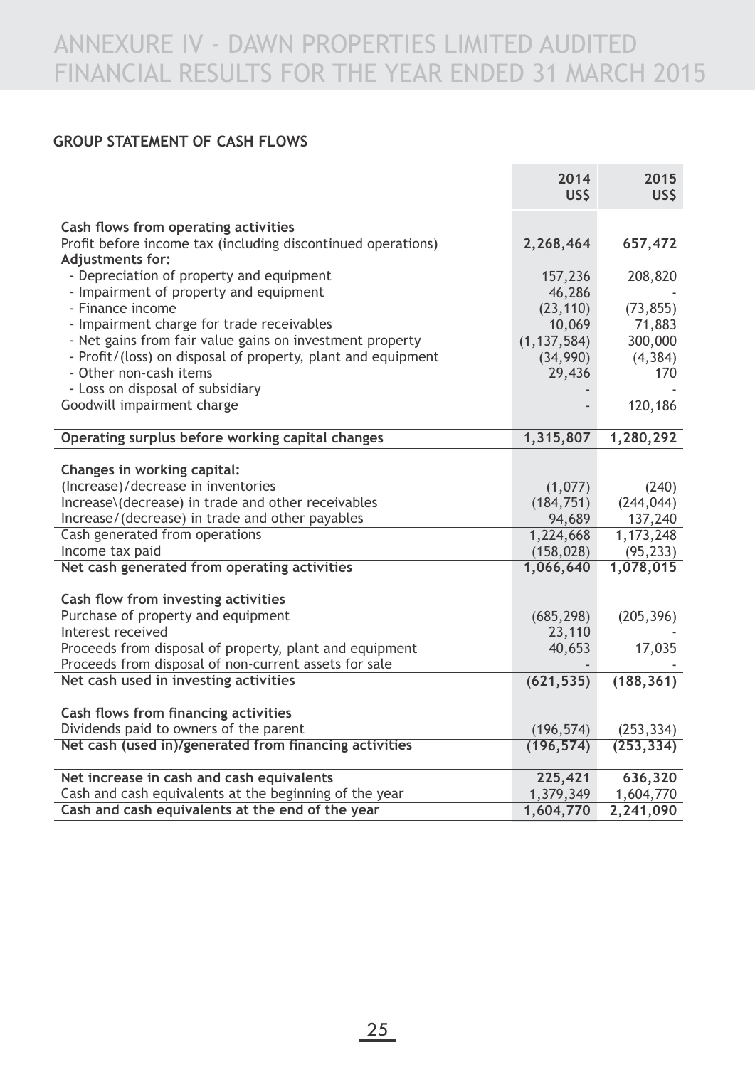## **GROUP STATEMENT OF CASH FLOWS**

|                                                                                    | 2014<br>US\$            | 2015<br>US\$         |
|------------------------------------------------------------------------------------|-------------------------|----------------------|
| Cash flows from operating activities                                               |                         |                      |
| Profit before income tax (including discontinued operations)<br>Adjustments for:   | 2,268,464               | 657,472              |
| - Depreciation of property and equipment<br>- Impairment of property and equipment | 157,236<br>46,286       | 208,820              |
| - Finance income                                                                   | (23, 110)               | (73, 855)            |
| - Impairment charge for trade receivables                                          | 10,069                  | 71,883               |
| - Net gains from fair value gains on investment property                           | (1, 137, 584)           | 300,000              |
| - Profit/(loss) on disposal of property, plant and equipment                       | (34,990)                | (4, 384)             |
| - Other non-cash items                                                             | 29,436                  | 170                  |
| - Loss on disposal of subsidiary                                                   |                         |                      |
| Goodwill impairment charge                                                         |                         | 120,186              |
| Operating surplus before working capital changes                                   | 1,315,807               | 1,280,292            |
|                                                                                    |                         |                      |
| Changes in working capital:                                                        |                         |                      |
| (Increase)/decrease in inventories                                                 | (1,077)                 | (240)                |
| Increase\(decrease) in trade and other receivables                                 | (184, 751)              | (244, 044)           |
| Increase/(decrease) in trade and other payables<br>Cash generated from operations  | 94,689                  | 137,240<br>1,173,248 |
| Income tax paid                                                                    | 1,224,668<br>(158, 028) | (95, 233)            |
| Net cash generated from operating activities                                       | 1,066,640               | 1,078,015            |
|                                                                                    |                         |                      |
| Cash flow from investing activities                                                |                         |                      |
| Purchase of property and equipment                                                 | (685, 298)              | (205, 396)           |
| Interest received                                                                  | 23,110                  |                      |
| Proceeds from disposal of property, plant and equipment                            | 40,653                  | 17,035               |
| Proceeds from disposal of non-current assets for sale                              |                         |                      |
| Net cash used in investing activities                                              | (621, 535)              | (188, 361)           |
| Cash flows from financing activities                                               |                         |                      |
| Dividends paid to owners of the parent                                             | (196, 574)              | (253, 334)           |
| Net cash (used in)/generated from financing activities                             | (196, 574)              | (253, 334)           |
|                                                                                    |                         |                      |
| Net increase in cash and cash equivalents                                          | 225,421                 | 636,320              |
| Cash and cash equivalents at the beginning of the year                             | 1,379,349               | 1,604,770            |
| Cash and cash equivalents at the end of the year                                   | 1,604,770               | 2,241,090            |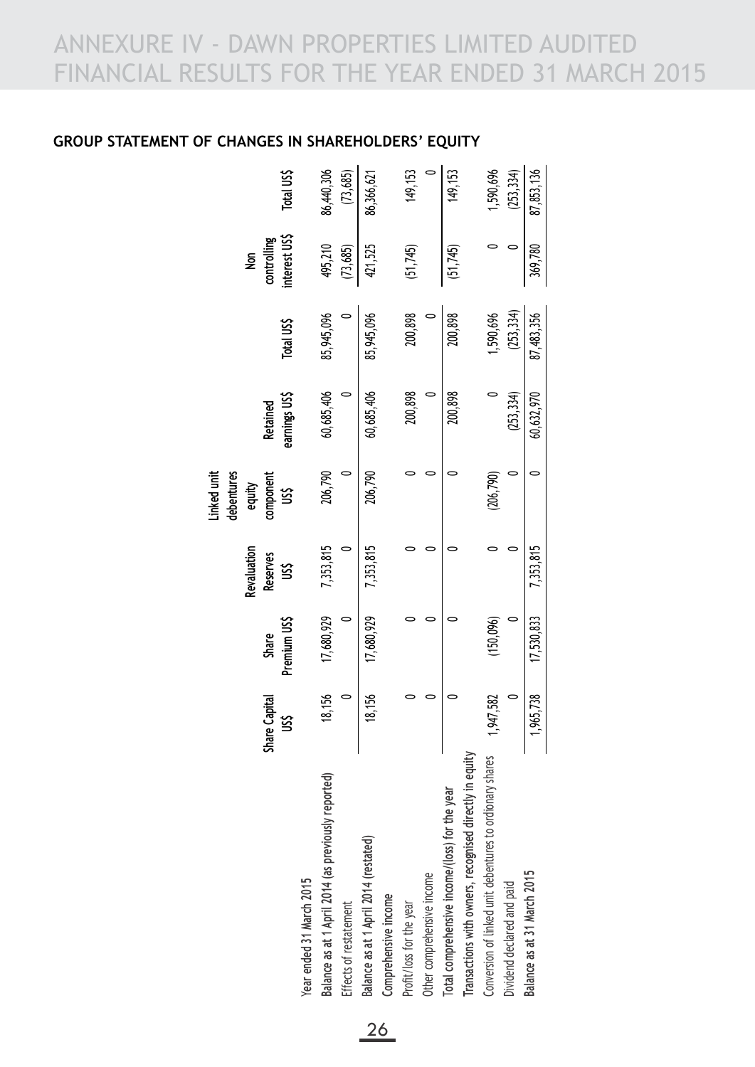## **GROUP STATEMENT OF CHANGES IN SHAREHOLDERS' EQUITY**

|                                                          |               |                       |                  | debentures<br>inked unit |                           |            |                              |            |
|----------------------------------------------------------|---------------|-----------------------|------------------|--------------------------|---------------------------|------------|------------------------------|------------|
|                                                          |               |                       | Revaluation      | equity                   |                           |            | $\tilde{z}$                  |            |
|                                                          | Share Capital | Premium US\$<br>Share | Reserves<br>US\$ | component<br>US\$        | earnings US\$<br>Retained | Total US\$ | interest US\$<br>controlling | Total US\$ |
| Year ended 31 March 2015                                 |               |                       |                  |                          |                           |            |                              |            |
| Balance as at 1 April 2014 (as previously reported)      | 18,156        | 17,680,929            | 7,353,815        | 206,790                  | 60,685,406                | 85,945,096 | 495,210                      | 86,440,306 |
| Effects of restatement                                   |               |                       |                  |                          |                           |            | (73, 685)                    | (73,685)   |
| Balance as at 1 April 2014 (restated)                    | 18,156        | 17,680,929            | 7,353,815        | 206,790                  | 60,685,406                | 85,945,096 | 421,525                      | 86,366,621 |
| Comprehensive income                                     |               |                       |                  |                          |                           |            |                              |            |
| Profit/loss for the year                                 |               |                       |                  |                          | 200,898                   | 200,898    | (51,745)                     | 149, 153   |
| Other comprehensive income                               |               |                       |                  |                          |                           |            |                              |            |
| Total comprehensive income/(loss) for the year           |               |                       |                  |                          | 200,898                   | 200,898    | (51,745)                     | 149, 153   |
| Transactions with owners, recognised directly in equity  |               |                       |                  |                          |                           |            |                              |            |
| Conversion of linked unit debentures to ordionary shares | 1,947,582     | (150, 096)            |                  | (206, 790)               |                           | 1,590,696  |                              | 1,590,696  |
| Dividend declared and paid                               |               |                       |                  |                          | (253, 334)                | (253, 334) |                              | (253, 334) |
| Balance as at 31 March 2015                              | 1,965,738     | 17,530,833            | 7,353,815        |                          | 60,632,970                | 87,483,356 | 369,780                      | 87,853,136 |
|                                                          |               |                       |                  |                          |                           |            |                              |            |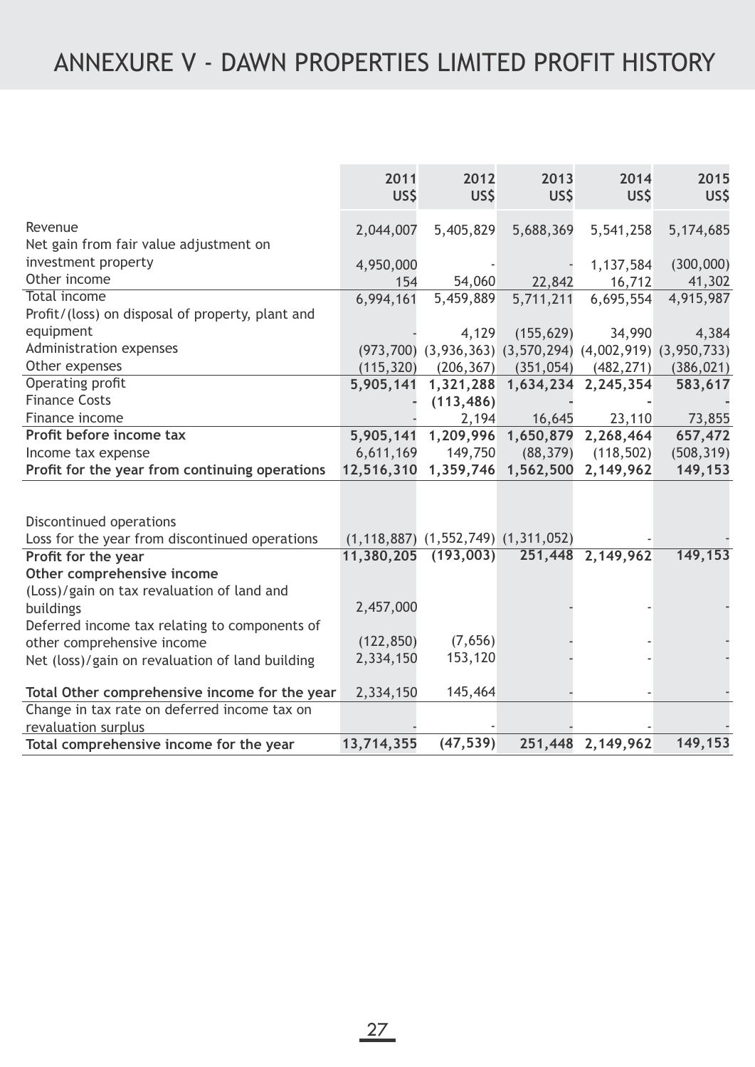|                                                  | 2011<br>US\$ | 2012<br>US\$                                                        | 2013<br>US\$ | 2014<br>US\$        | 2015<br>US\$ |
|--------------------------------------------------|--------------|---------------------------------------------------------------------|--------------|---------------------|--------------|
| Revenue                                          | 2,044,007    | 5,405,829                                                           | 5,688,369    | 5,541,258           | 5,174,685    |
| Net gain from fair value adjustment on           |              |                                                                     |              |                     |              |
| investment property                              | 4,950,000    |                                                                     |              | 1,137,584           | (300,000)    |
| Other income                                     | 154          | 54,060                                                              | 22,842       | 16,712              | 41,302       |
| <b>Total income</b>                              | 6,994,161    | 5,459,889                                                           | 5,711,211    | 6,695,554           | 4,915,987    |
| Profit/(loss) on disposal of property, plant and |              |                                                                     |              |                     |              |
| equipment                                        |              | 4,129                                                               | (155, 629)   | 34,990              | 4,384        |
| Administration expenses                          |              | $(973,700)$ $(3,936,363)$ $(3,570,294)$ $(4,002,919)$ $(3,950,733)$ |              |                     |              |
| Other expenses                                   | (115, 320)   | (206, 367)                                                          | (351, 054)   | (482, 271)          | (386, 021)   |
| Operating profit                                 | 5,905,141    | 1,321,288                                                           |              | 1,634,234 2,245,354 | 583,617      |
| <b>Finance Costs</b>                             |              | (113, 486)                                                          |              |                     |              |
| Finance income                                   |              | 2,194                                                               | 16,645       | 23,110              | 73,855       |
| Profit before income tax                         |              | 5,905,141 1,209,996                                                 |              | 1,650,879 2,268,464 | 657,472      |
| Income tax expense                               | 6,611,169    | 149,750                                                             | (88, 379)    | (118, 502)          | (508, 319)   |
| Profit for the year from continuing operations   | 12,516,310   | 1,359,746                                                           |              | 1,562,500 2,149,962 | 149,153      |
|                                                  |              |                                                                     |              |                     |              |
| Discontinued operations                          |              |                                                                     |              |                     |              |
| Loss for the year from discontinued operations   |              | $(1, 118, 887)$ $(1, 552, 749)$ $(1, 311, 052)$                     |              |                     |              |
| Profit for the year                              | 11,380,205   | (193,003)                                                           |              | 251,448 2,149,962   | 149,153      |
| Other comprehensive income                       |              |                                                                     |              |                     |              |
| (Loss)/gain on tax revaluation of land and       |              |                                                                     |              |                     |              |
| buildings                                        | 2,457,000    |                                                                     |              |                     |              |
| Deferred income tax relating to components of    | (122, 850)   | (7,656)                                                             |              |                     |              |
| other comprehensive income                       | 2,334,150    | 153,120                                                             |              |                     |              |
| Net (loss)/gain on revaluation of land building  |              |                                                                     |              |                     |              |
| Total Other comprehensive income for the year    | 2,334,150    | 145,464                                                             |              |                     |              |
| Change in tax rate on deferred income tax on     |              |                                                                     |              |                     |              |
| revaluation surplus                              |              |                                                                     |              |                     |              |
| Total comprehensive income for the year          | 13,714,355   | (47, 539)                                                           |              | 251,448 2,149,962   | 149,153      |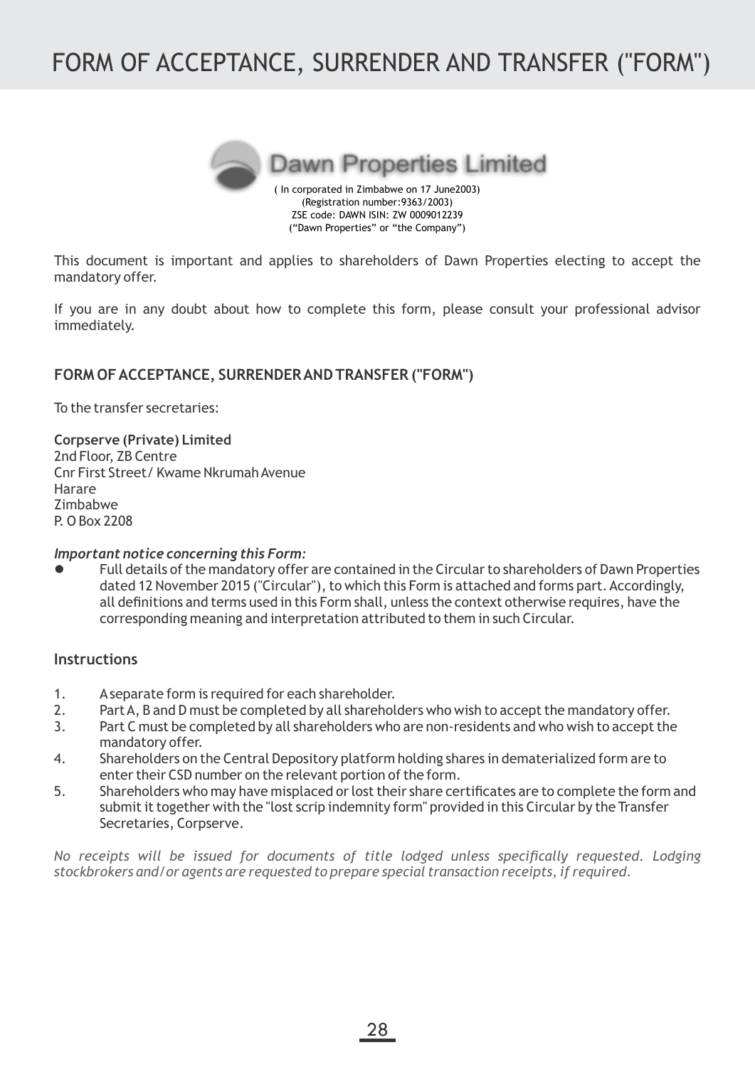# FORM OF ACCEPTANCE, SURRENDER AND TRANSFER ("FORM")



**Dawn Properties Limited** 

( In corporated in Zimbabwe on 17 June2003) (Registration number:9363/2003) ZSE code: DAWN ISIN: ZW 0009012239 ("Dawn Properties" or "the Company")

This document is important and applies to shareholders of Dawn Properties electing to accept the mandatory offer.

If you are in any doubt about how to complete this form, please consult your professional advisor immediately.

## **FORM OF ACCEPTANCE, SURRENDER AND TRANSFER ("FORM")**

To the transfer secretaries:

**Corpserve (Private) Limited** 2nd Floor, ZB Centre Cnr First Street/ Kwame Nkrumah Avenue Harare Zimbabwe P. O Box 2208

### *Important notice concerning this Form:*

**•** Full details of the mandatory offer are contained in the Circular to shareholders of Dawn Properties dated 12 November 2015 ("Circular"), to which this Form is attached and forms part. Accordingly, all definitions and terms used in this Form shall, unless the context otherwise requires, have the corresponding meaning and interpretation attributed to them in such Circular.

## **Instructions**

- 1. Aseparate form is required for each shareholder.
- 2. Part A, B and D must be completed by all shareholders who wish to accept the mandatory offer.
- 3. Part C must be completed by all shareholders who are non-residents and who wish to accept the mandatory offer.
- 4. Shareholders on the Central Depository platform holding shares in dematerialized form are to enter their CSD number on the relevant portion of the form.
- 5. Shareholders who may have misplaced or lost their share certificates are to complete the form and submit it together with the "lost scrip indemnity form" provided in this Circular by the Transfer Secretaries, Corpserve.

*No receipts will be issued for documents of title lodged unless specifically requested. Lodging stockbrokers and/or agents are requested to prepare special transaction receipts, if required.*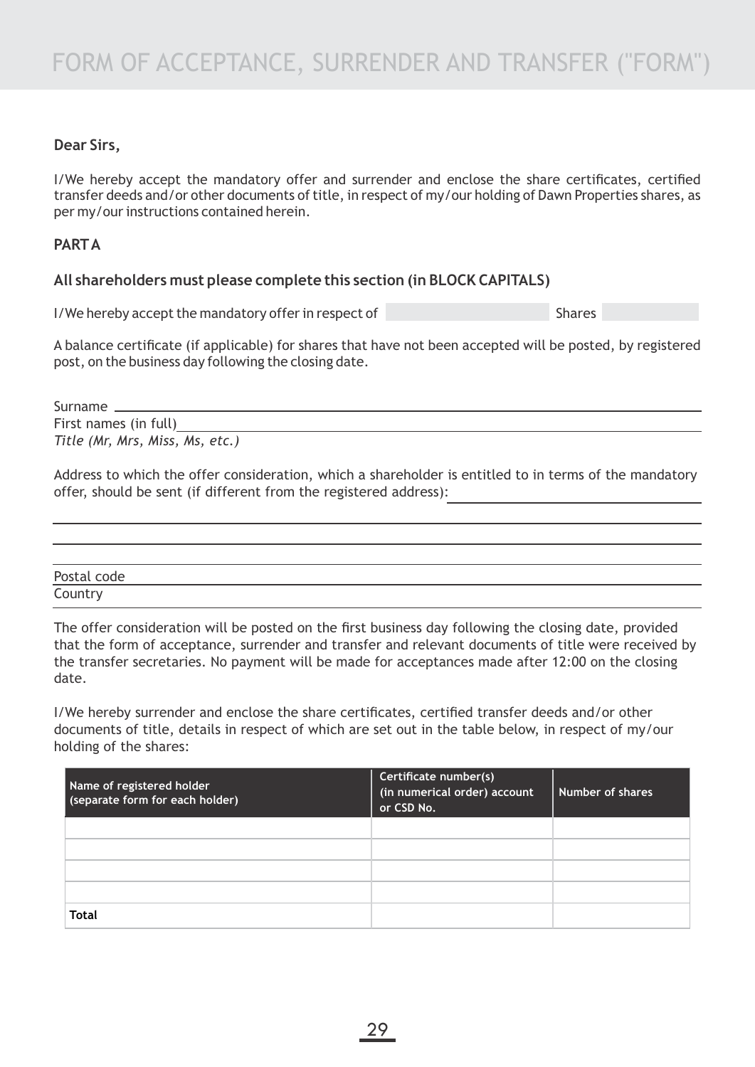## **Dear Sirs,**

I/We hereby accept the mandatory offer and surrender and enclose the share certificates, certified transfer deeds and/or other documents of title, in respect of my/our holding of Dawn Properties shares, as per my/our instructions contained herein.

## **PARTA**

## **All shareholders must please complete this section (in BLOCK CAPITALS)**

I/We hereby accept the mandatory offer in respect of Shares Shares

A balance certificate (if applicable) for shares that have not been accepted will be posted, by registered post, on the business day following the closing date.

Surname

First names (in full) *Title (Mr, Mrs, Miss, Ms, etc.)*

Address to which the offer consideration, which a shareholder is entitled to in terms of the mandatory offer, should be sent (if different from the registered address):

| Postal code |  |
|-------------|--|
| Country     |  |

The offer consideration will be posted on the first business day following the closing date, provided that the form of acceptance, surrender and transfer and relevant documents of title were received by the transfer secretaries. No payment will be made for acceptances made after 12:00 on the closing date.

I/We hereby surrender and enclose the share certificates, certified transfer deeds and/or other documents of title, details in respect of which are set out in the table below, in respect of my/our holding of the shares:

| Name of registered holder<br>(separate form for each holder) | Certificate number(s)<br>(in numerical order) account<br>or CSD No. | l Number of shares |
|--------------------------------------------------------------|---------------------------------------------------------------------|--------------------|
|                                                              |                                                                     |                    |
|                                                              |                                                                     |                    |
|                                                              |                                                                     |                    |
|                                                              |                                                                     |                    |
| <b>Total</b>                                                 |                                                                     |                    |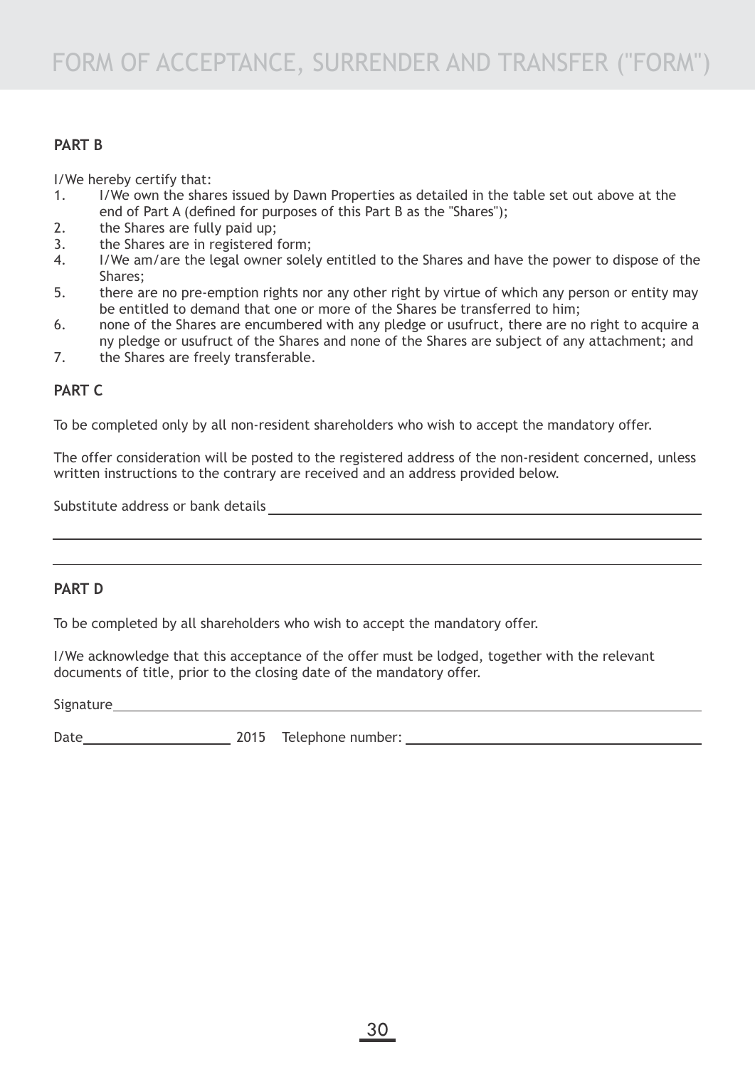## **PART B**

I/We hereby certify that:

- 1. I/We own the shares issued by Dawn Properties as detailed in the table set out above at the end of Part A (defined for purposes of this Part B as the "Shares");
- 2. the Shares are fully paid up;
- 3. the Shares are in registered form;
- 4. I/We am/are the legal owner solely entitled to the Shares and have the power to dispose of the Shares;
- 5. there are no pre-emption rights nor any other right by virtue of which any person or entity may be entitled to demand that one or more of the Shares be transferred to him;
- 6. none of the Shares are encumbered with any pledge or usufruct, there are no right to acquire a ny pledge or usufruct of the Shares and none of the Shares are subject of any attachment; and
- 7. the Shares are freely transferable.

## **PART C**

To be completed only by all non-resident shareholders who wish to accept the mandatory offer.

The offer consideration will be posted to the registered address of the non-resident concerned, unless written instructions to the contrary are received and an address provided below.

Substitute address or bank details

## **PART D**

To be completed by all shareholders who wish to accept the mandatory offer.

I/We acknowledge that this acceptance of the offer must be lodged, together with the relevant documents of title, prior to the closing date of the mandatory offer.

**Signature** 

Date 2015 Telephone number: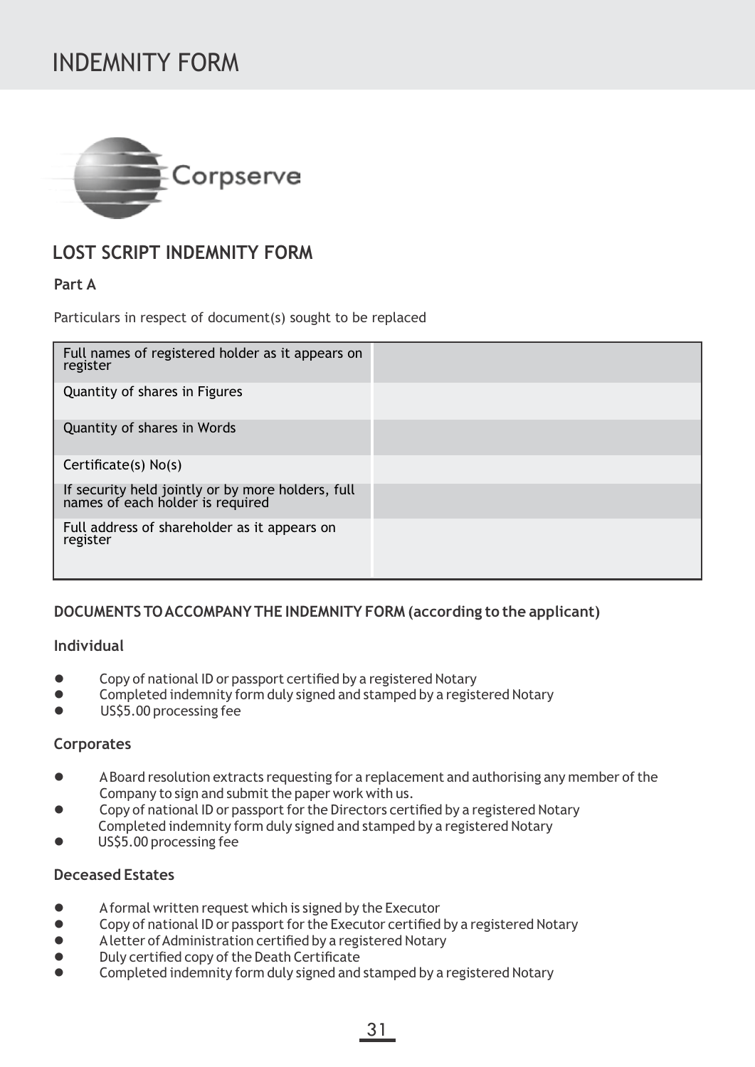# INDEMNITY FORM



# **LOST SCRIPT INDEMNITY FORM**

## **Part A**

Particulars in respect of document(s) sought to be replaced

| Full names of registered holder as it appears on<br>register                       |  |
|------------------------------------------------------------------------------------|--|
| Quantity of shares in Figures                                                      |  |
| Quantity of shares in Words                                                        |  |
| Certificate(s) No(s)                                                               |  |
| If security held jointly or by more holders, full names of each holder is required |  |
| Full address of shareholder as it appears on<br>register                           |  |

## **DOCUMENTS TO ACCOMPANYTHE INDEMNITY FORM (according to the applicant)**

## **Individual**

- **.** Copy of national ID or passport certified by a registered Notary
- **•** Completed indemnity form duly signed and stamped by a registered Notary
- **e** US\$5.00 processing fee

## **Corporates**

- l ABoard resolution extracts requesting for a replacement and authorising any member of the Company to sign and submit the paper work with us.
- **•** Copy of national ID or passport for the Directors certified by a registered Notary Completed indemnity form duly signed and stamped by a registered Notary
- US\$5.00 processing fee

## **Deceased Estates**

- Aformal written request which is signed by the Executor<br>● Conv of national ID or nassport for the Executor certified
- l Copy of national ID or passport for the Executor certified by a registered Notary
- **•** Aletter of Administration certified by a registered Notary
- $\bullet$  Duly certified copy of the Death Certificate
- $\bullet$  Completed indemnity form duly signed and stamped by a registered Notary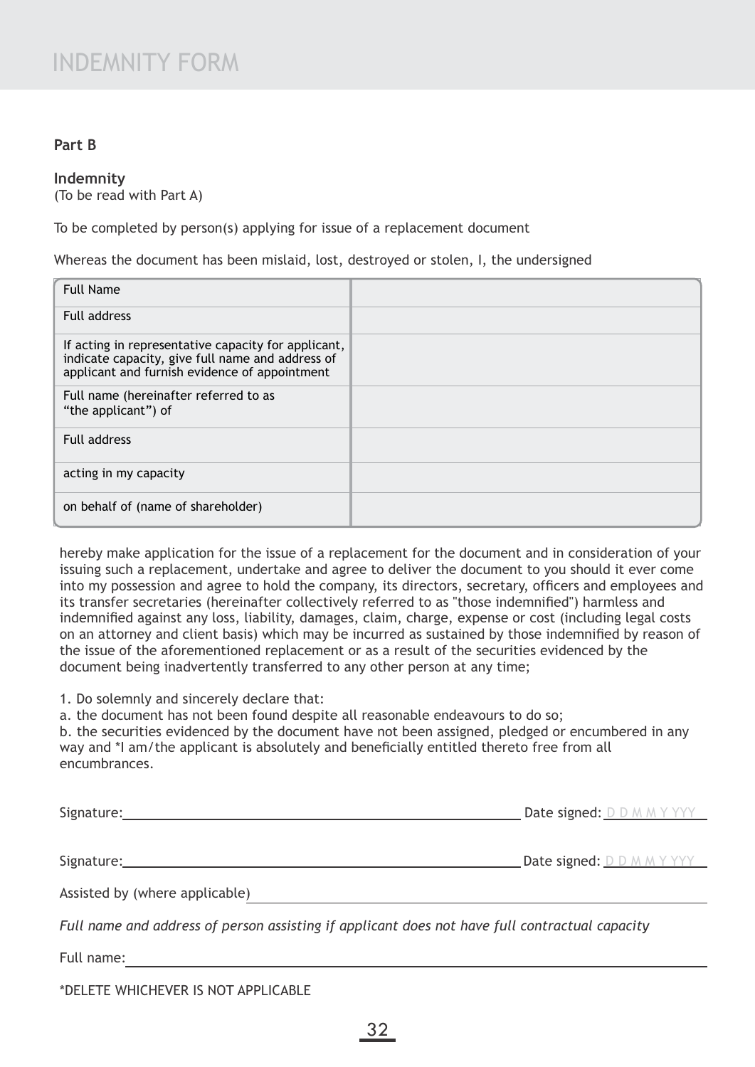## **Part B**

### **Indemnity**

(To be read with Part A)

To be completed by person(s) applying for issue of a replacement document

Whereas the document has been mislaid, lost, destroyed or stolen, I, the undersigned

| <b>Full Name</b>                                                                                                                                         |  |
|----------------------------------------------------------------------------------------------------------------------------------------------------------|--|
| Full address                                                                                                                                             |  |
| If acting in representative capacity for applicant,<br>indicate capacity, give full name and address of<br>applicant and furnish evidence of appointment |  |
| Full name (hereinafter referred to as<br>"the applicant") of                                                                                             |  |
| <b>Full address</b>                                                                                                                                      |  |
| acting in my capacity                                                                                                                                    |  |
| on behalf of (name of shareholder)                                                                                                                       |  |

hereby make application for the issue of a replacement for the document and in consideration of your issuing such a replacement, undertake and agree to deliver the document to you should it ever come into my possession and agree to hold the company, its directors, secretary, officers and employees and its transfer secretaries (hereinafter collectively referred to as "those indemnified") harmless and indemnified against any loss, liability, damages, claim, charge, expense or cost (including legal costs on an attorney and client basis) which may be incurred as sustained by those indemnified by reason of the issue of the aforementioned replacement or as a result of the securities evidenced by the document being inadvertently transferred to any other person at any time;

1. Do solemnly and sincerely declare that:

a. the document has not been found despite all reasonable endeavours to do so;

b. the securities evidenced by the document have not been assigned, pledged or encumbered in any way and \*I am/the applicant is absolutely and beneficially entitled thereto free from all encumbrances.

| Signature:                                                                                     | <b>Date signed:</b> D D M M Y YYY |
|------------------------------------------------------------------------------------------------|-----------------------------------|
|                                                                                                |                                   |
| Signature:                                                                                     | <b>Date signed: D D M M Y YYY</b> |
| Assisted by (where applicable)                                                                 |                                   |
| Full name and address of person assisting if applicant does not have full contractual capacity |                                   |

Full name:

\*DELETE WHICHEVER IS NOT APPLICABLE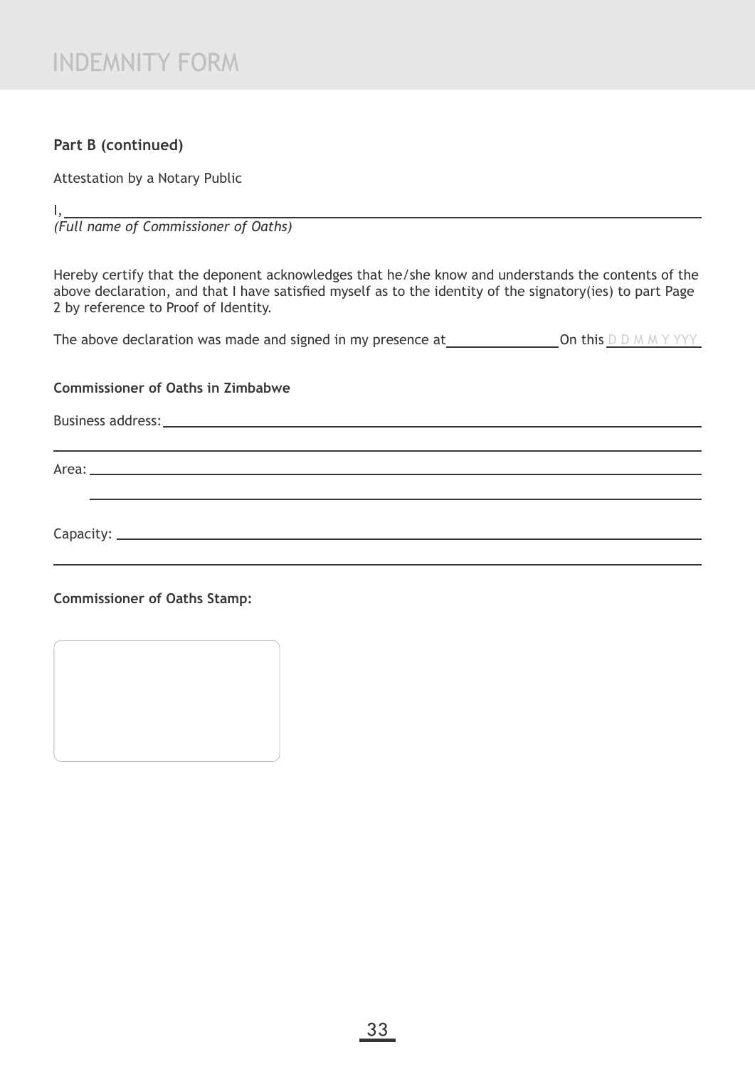## **Part B (continued)**

Attestation by a Notary Public

I,

*(Full name of Commissioner of Oaths)*

Hereby certify that the deponent acknowledges that he/she know and understands the contents of the above declaration, and that I have satisfied myself as to the identity of the signatory(ies) to part Page 2 by reference to Proof of Identity.

The above declaration was made and signed in my presence at  $\Box$  On this  $\Box$  D M M Y YYY

### **Commissioner of Oaths in Zimbabwe**

Business address: experience of the state of the state of the state of the state of the state of the state of the state of the state of the state of the state of the state of the state of the state of the state of the stat

Area: 1988

Capacity:

**Commissioner of Oaths Stamp:**